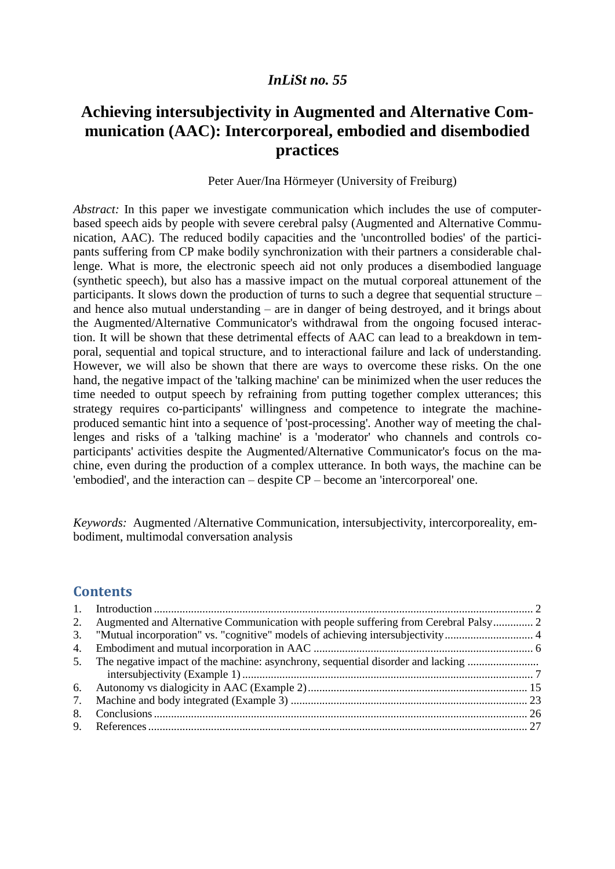# *InLiSt no. 55*

# **Achieving intersubjectivity in Augmented and Alternative Communication (AAC): Intercorporeal, embodied and disembodied practices**

#### Peter Auer/Ina Hörmeyer (University of Freiburg)

*Abstract:* In this paper we investigate communication which includes the use of computerbased speech aids by people with severe cerebral palsy (Augmented and Alternative Communication, AAC). The reduced bodily capacities and the 'uncontrolled bodies' of the participants suffering from CP make bodily synchronization with their partners a considerable challenge. What is more, the electronic speech aid not only produces a disembodied language (synthetic speech), but also has a massive impact on the mutual corporeal attunement of the participants. It slows down the production of turns to such a degree that sequential structure – and hence also mutual understanding – are in danger of being destroyed, and it brings about the Augmented/Alternative Communicator's withdrawal from the ongoing focused interaction. It will be shown that these detrimental effects of AAC can lead to a breakdown in temporal, sequential and topical structure, and to interactional failure and lack of understanding. However, we will also be shown that there are ways to overcome these risks. On the one hand, the negative impact of the 'talking machine' can be minimized when the user reduces the time needed to output speech by refraining from putting together complex utterances; this strategy requires co-participants' willingness and competence to integrate the machineproduced semantic hint into a sequence of 'post-processing'. Another way of meeting the challenges and risks of a 'talking machine' is a 'moderator' who channels and controls coparticipants' activities despite the Augmented/Alternative Communicator's focus on the machine, even during the production of a complex utterance. In both ways, the machine can be 'embodied', and the interaction can – despite CP – become an 'intercorporeal' one.

*Keywords:* Augmented /Alternative Communication, intersubjectivity, intercorporeality, embodiment, multimodal conversation analysis

# **Contents**

| 2. Augmented and Alternative Communication with people suffering from Cerebral Palsy 2 |  |
|----------------------------------------------------------------------------------------|--|
|                                                                                        |  |
|                                                                                        |  |
| 5. The negative impact of the machine: asynchrony, sequential disorder and lacking     |  |
|                                                                                        |  |
|                                                                                        |  |
|                                                                                        |  |
|                                                                                        |  |
|                                                                                        |  |
|                                                                                        |  |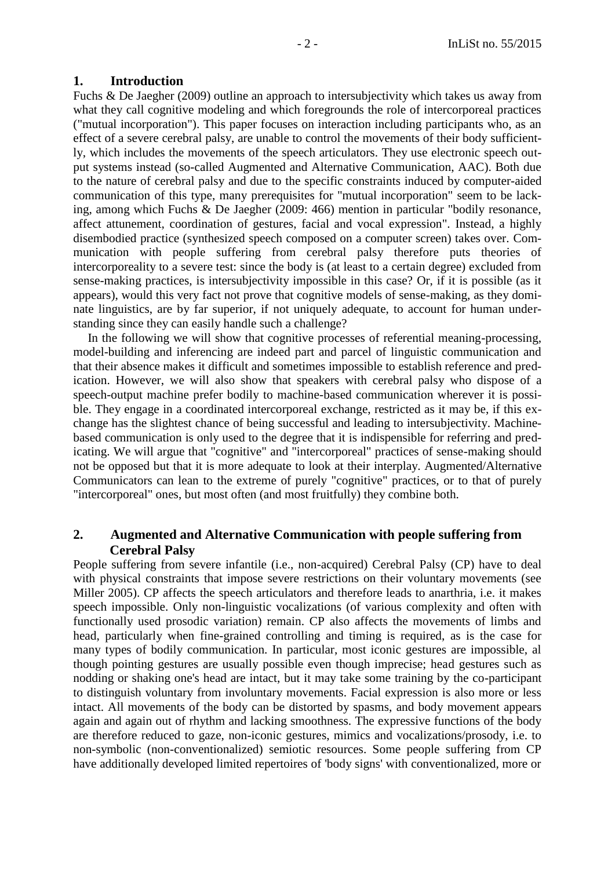## <span id="page-1-0"></span>**1. Introduction**

Fuchs & De Jaegher (2009) outline an approach to intersubjectivity which takes us away from what they call cognitive modeling and which foregrounds the role of intercorporeal practices ("mutual incorporation"). This paper focuses on interaction including participants who, as an effect of a severe cerebral palsy, are unable to control the movements of their body sufficiently, which includes the movements of the speech articulators. They use electronic speech output systems instead (so-called Augmented and Alternative Communication, AAC). Both due to the nature of cerebral palsy and due to the specific constraints induced by computer-aided communication of this type, many prerequisites for "mutual incorporation" seem to be lacking, among which Fuchs & De Jaegher (2009: 466) mention in particular "bodily resonance, affect attunement, coordination of gestures, facial and vocal expression". Instead, a highly disembodied practice (synthesized speech composed on a computer screen) takes over. Communication with people suffering from cerebral palsy therefore puts theories of intercorporeality to a severe test: since the body is (at least to a certain degree) excluded from sense-making practices, is intersubjectivity impossible in this case? Or, if it is possible (as it appears), would this very fact not prove that cognitive models of sense-making, as they dominate linguistics, are by far superior, if not uniquely adequate, to account for human understanding since they can easily handle such a challenge?

In the following we will show that cognitive processes of referential meaning-processing, model-building and inferencing are indeed part and parcel of linguistic communication and that their absence makes it difficult and sometimes impossible to establish reference and predication. However, we will also show that speakers with cerebral palsy who dispose of a speech-output machine prefer bodily to machine-based communication wherever it is possible. They engage in a coordinated intercorporeal exchange, restricted as it may be, if this exchange has the slightest chance of being successful and leading to intersubjectivity. Machinebased communication is only used to the degree that it is indispensible for referring and predicating. We will argue that "cognitive" and "intercorporeal" practices of sense-making should not be opposed but that it is more adequate to look at their interplay. Augmented/Alternative Communicators can lean to the extreme of purely "cognitive" practices, or to that of purely "intercorporeal" ones, but most often (and most fruitfully) they combine both.

## <span id="page-1-1"></span>**2. Augmented and Alternative Communication with people suffering from Cerebral Palsy**

People suffering from severe infantile (i.e., non-acquired) Cerebral Palsy (CP) have to deal with physical constraints that impose severe restrictions on their voluntary movements (see Miller 2005). CP affects the speech articulators and therefore leads to anarthria, i.e. it makes speech impossible. Only non-linguistic vocalizations (of various complexity and often with functionally used prosodic variation) remain. CP also affects the movements of limbs and head, particularly when fine-grained controlling and timing is required, as is the case for many types of bodily communication. In particular, most iconic gestures are impossible, al though pointing gestures are usually possible even though imprecise; head gestures such as nodding or shaking one's head are intact, but it may take some training by the co-participant to distinguish voluntary from involuntary movements. Facial expression is also more or less intact. All movements of the body can be distorted by spasms, and body movement appears again and again out of rhythm and lacking smoothness. The expressive functions of the body are therefore reduced to gaze, non-iconic gestures, mimics and vocalizations/prosody, i.e. to non-symbolic (non-conventionalized) semiotic resources. Some people suffering from CP have additionally developed limited repertoires of 'body signs' with conventionalized, more or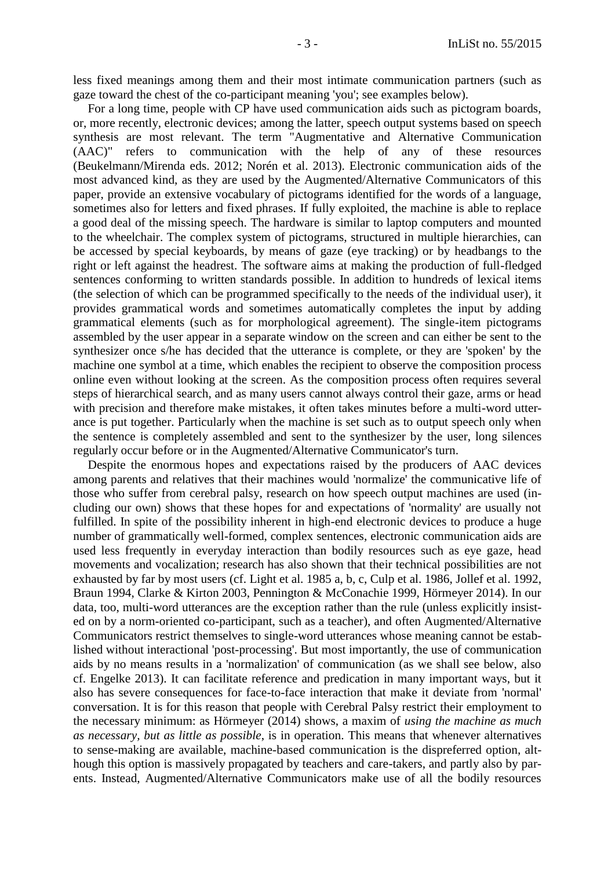less fixed meanings among them and their most intimate communication partners (such as gaze toward the chest of the co-participant meaning 'you'; see examples below).

For a long time, people with CP have used communication aids such as pictogram boards, or, more recently, electronic devices; among the latter, speech output systems based on speech synthesis are most relevant. The term "Augmentative and Alternative Communication (AAC)" refers to communication with the help of any of these resources (Beukelmann/Mirenda eds. 2012; Norén et al. 2013). Electronic communication aids of the most advanced kind, as they are used by the Augmented/Alternative Communicators of this paper, provide an extensive vocabulary of pictograms identified for the words of a language, sometimes also for letters and fixed phrases. If fully exploited, the machine is able to replace a good deal of the missing speech. The hardware is similar to laptop computers and mounted to the wheelchair. The complex system of pictograms, structured in multiple hierarchies, can be accessed by special keyboards, by means of gaze (eye tracking) or by headbangs to the right or left against the headrest. The software aims at making the production of full-fledged sentences conforming to written standards possible. In addition to hundreds of lexical items (the selection of which can be programmed specifically to the needs of the individual user), it provides grammatical words and sometimes automatically completes the input by adding grammatical elements (such as for morphological agreement). The single-item pictograms assembled by the user appear in a separate window on the screen and can either be sent to the synthesizer once s/he has decided that the utterance is complete, or they are 'spoken' by the machine one symbol at a time, which enables the recipient to observe the composition process online even without looking at the screen. As the composition process often requires several steps of hierarchical search, and as many users cannot always control their gaze, arms or head with precision and therefore make mistakes, it often takes minutes before a multi-word utterance is put together. Particularly when the machine is set such as to output speech only when the sentence is completely assembled and sent to the synthesizer by the user, long silences regularly occur before or in the Augmented/Alternative Communicator's turn.

Despite the enormous hopes and expectations raised by the producers of AAC devices among parents and relatives that their machines would 'normalize' the communicative life of those who suffer from cerebral palsy, research on how speech output machines are used (including our own) shows that these hopes for and expectations of 'normality' are usually not fulfilled. In spite of the possibility inherent in high-end electronic devices to produce a huge number of grammatically well-formed, complex sentences, electronic communication aids are used less frequently in everyday interaction than bodily resources such as eye gaze, head movements and vocalization; research has also shown that their technical possibilities are not exhausted by far by most users (cf. Light et al. 1985 a, b, c, Culp et al. 1986, Jollef et al. 1992, Braun 1994, Clarke & Kirton 2003, Pennington & McConachie 1999, Hörmeyer 2014). In our data, too, multi-word utterances are the exception rather than the rule (unless explicitly insisted on by a norm-oriented co-participant, such as a teacher), and often Augmented/Alternative Communicators restrict themselves to single-word utterances whose meaning cannot be established without interactional 'post-processing'. But most importantly, the use of communication aids by no means results in a 'normalization' of communication (as we shall see below, also cf. Engelke 2013). It can facilitate reference and predication in many important ways, but it also has severe consequences for face-to-face interaction that make it deviate from 'normal' conversation. It is for this reason that people with Cerebral Palsy restrict their employment to the necessary minimum: as Hörmeyer (2014) shows, a maxim of *using the machine as much as necessary, but as little as possible*, is in operation. This means that whenever alternatives to sense-making are available, machine-based communication is the dispreferred option, although this option is massively propagated by teachers and care-takers, and partly also by parents. Instead, Augmented/Alternative Communicators make use of all the bodily resources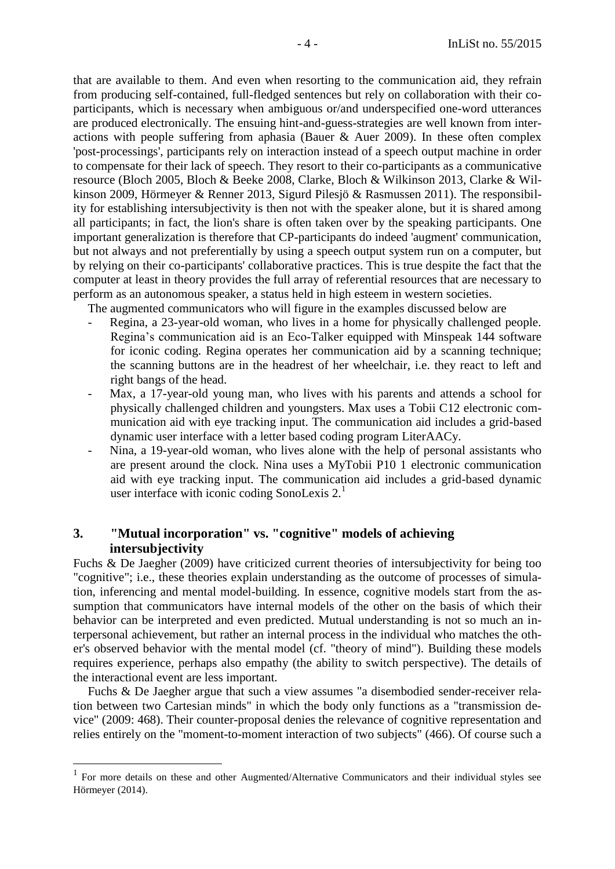that are available to them. And even when resorting to the communication aid, they refrain from producing self-contained, full-fledged sentences but rely on collaboration with their coparticipants, which is necessary when ambiguous or/and underspecified one-word utterances are produced electronically. The ensuing hint-and-guess-strategies are well known from interactions with people suffering from aphasia (Bauer & Auer 2009). In these often complex 'post-processings', participants rely on interaction instead of a speech output machine in order to compensate for their lack of speech. They resort to their co-participants as a communicative resource (Bloch 2005, Bloch & Beeke 2008, Clarke, Bloch & Wilkinson 2013, Clarke & Wilkinson 2009, Hörmeyer & Renner 2013, Sigurd Pilesjö & Rasmussen 2011). The responsibility for establishing intersubjectivity is then not with the speaker alone, but it is shared among all participants; in fact, the lion's share is often taken over by the speaking participants. One important generalization is therefore that CP-participants do indeed 'augment' communication, but not always and not preferentially by using a speech output system run on a computer, but by relying on their co-participants' collaborative practices. This is true despite the fact that the computer at least in theory provides the full array of referential resources that are necessary to perform as an autonomous speaker, a status held in high esteem in western societies.

The augmented communicators who will figure in the examples discussed below are

- Regina, a 23-year-old woman, who lives in a home for physically challenged people. Regina's communication aid is an Eco-Talker equipped with Minspeak 144 software for iconic coding. Regina operates her communication aid by a scanning technique; the scanning buttons are in the headrest of her wheelchair, i.e. they react to left and right bangs of the head.
- Max, a 17-year-old young man, who lives with his parents and attends a school for physically challenged children and youngsters. Max uses a Tobii C12 electronic communication aid with eye tracking input. The communication aid includes a grid-based dynamic user interface with a letter based coding program LiterAACy.
- Nina, a 19-year-old woman, who lives alone with the help of personal assistants who are present around the clock. Nina uses a MyTobii P10 1 electronic communication aid with eye tracking input. The communication aid includes a grid-based dynamic user interface with iconic coding SonoLexis  $2<sup>1</sup>$

# <span id="page-3-0"></span>**3. "Mutual incorporation" vs. "cognitive" models of achieving intersubjectivity**

 $\overline{a}$ 

Fuchs & De Jaegher (2009) have criticized current theories of intersubjectivity for being too "cognitive"; i.e., these theories explain understanding as the outcome of processes of simulation, inferencing and mental model-building. In essence, cognitive models start from the assumption that communicators have internal models of the other on the basis of which their behavior can be interpreted and even predicted. Mutual understanding is not so much an interpersonal achievement, but rather an internal process in the individual who matches the other's observed behavior with the mental model (cf. "theory of mind"). Building these models requires experience, perhaps also empathy (the ability to switch perspective). The details of the interactional event are less important.

Fuchs & De Jaegher argue that such a view assumes "a disembodied sender-receiver relation between two Cartesian minds" in which the body only functions as a "transmission device" (2009: 468). Their counter-proposal denies the relevance of cognitive representation and relies entirely on the "moment-to-moment interaction of two subjects" (466). Of course such a

<sup>1</sup> For more details on these and other Augmented/Alternative Communicators and their individual styles see Hörmeyer (2014).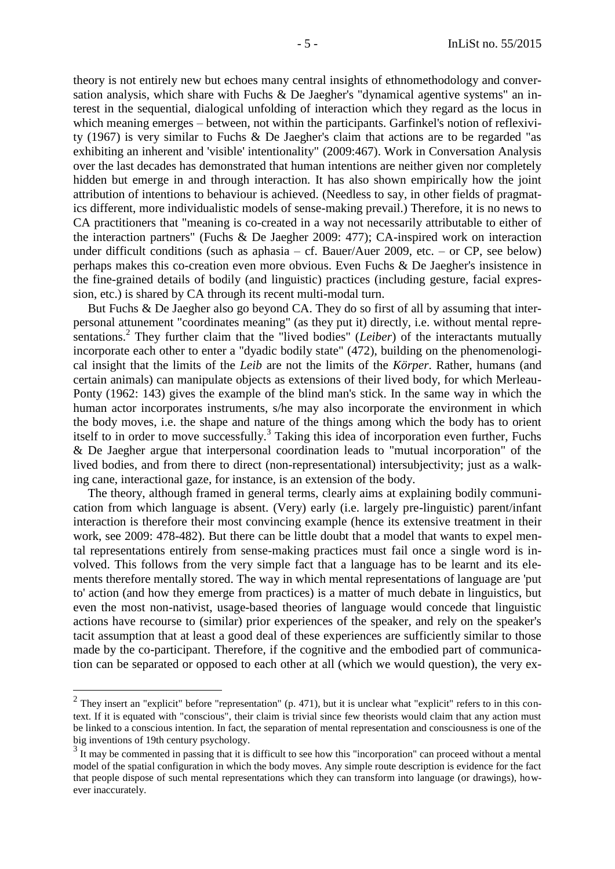theory is not entirely new but echoes many central insights of ethnomethodology and conversation analysis, which share with Fuchs & De Jaegher's "dynamical agentive systems" an interest in the sequential, dialogical unfolding of interaction which they regard as the locus in which meaning emerges – between, not within the participants. Garfinkel's notion of reflexivity (1967) is very similar to Fuchs & De Jaegher's claim that actions are to be regarded "as exhibiting an inherent and 'visible' intentionality" (2009:467). Work in Conversation Analysis over the last decades has demonstrated that human intentions are neither given nor completely hidden but emerge in and through interaction. It has also shown empirically how the joint attribution of intentions to behaviour is achieved. (Needless to say, in other fields of pragmatics different, more individualistic models of sense-making prevail.) Therefore, it is no news to CA practitioners that "meaning is co-created in a way not necessarily attributable to either of the interaction partners" (Fuchs & De Jaegher 2009: 477); CA-inspired work on interaction under difficult conditions (such as aphasia – cf. Bauer/Auer 2009, etc. – or CP, see below) perhaps makes this co-creation even more obvious. Even Fuchs & De Jaegher's insistence in the fine-grained details of bodily (and linguistic) practices (including gesture, facial expression, etc.) is shared by CA through its recent multi-modal turn.

But Fuchs & De Jaegher also go beyond CA. They do so first of all by assuming that interpersonal attunement "coordinates meaning" (as they put it) directly, i.e. without mental representations.<sup>2</sup> They further claim that the "lived bodies" (*Leiber*) of the interactants mutually incorporate each other to enter a "dyadic bodily state" (472), building on the phenomenological insight that the limits of the *Leib* are not the limits of the *Körper*. Rather, humans (and certain animals) can manipulate objects as extensions of their lived body, for which Merleau-Ponty (1962: 143) gives the example of the blind man's stick. In the same way in which the human actor incorporates instruments, s/he may also incorporate the environment in which the body moves, i.e. the shape and nature of the things among which the body has to orient itself to in order to move successfully.<sup>3</sup> Taking this idea of incorporation even further, Fuchs & De Jaegher argue that interpersonal coordination leads to "mutual incorporation" of the lived bodies, and from there to direct (non-representational) intersubjectivity; just as a walking cane, interactional gaze, for instance, is an extension of the body.

The theory, although framed in general terms, clearly aims at explaining bodily communication from which language is absent. (Very) early (i.e. largely pre-linguistic) parent/infant interaction is therefore their most convincing example (hence its extensive treatment in their work, see 2009: 478-482). But there can be little doubt that a model that wants to expel mental representations entirely from sense-making practices must fail once a single word is involved. This follows from the very simple fact that a language has to be learnt and its elements therefore mentally stored. The way in which mental representations of language are 'put to' action (and how they emerge from practices) is a matter of much debate in linguistics, but even the most non-nativist, usage-based theories of language would concede that linguistic actions have recourse to (similar) prior experiences of the speaker, and rely on the speaker's tacit assumption that at least a good deal of these experiences are sufficiently similar to those made by the co-participant. Therefore, if the cognitive and the embodied part of communication can be separated or opposed to each other at all (which we would question), the very ex-

 $\overline{a}$ 

<sup>&</sup>lt;sup>2</sup> They insert an "explicit" before "representation" (p. 471), but it is unclear what "explicit" refers to in this context. If it is equated with "conscious", their claim is trivial since few theorists would claim that any action must be linked to a conscious intention. In fact, the separation of mental representation and consciousness is one of the big inventions of 19th century psychology.

 $3\text{ H}$  may be commented in passing that it is difficult to see how this "incorporation" can proceed without a mental model of the spatial configuration in which the body moves. Any simple route description is evidence for the fact that people dispose of such mental representations which they can transform into language (or drawings), however inaccurately.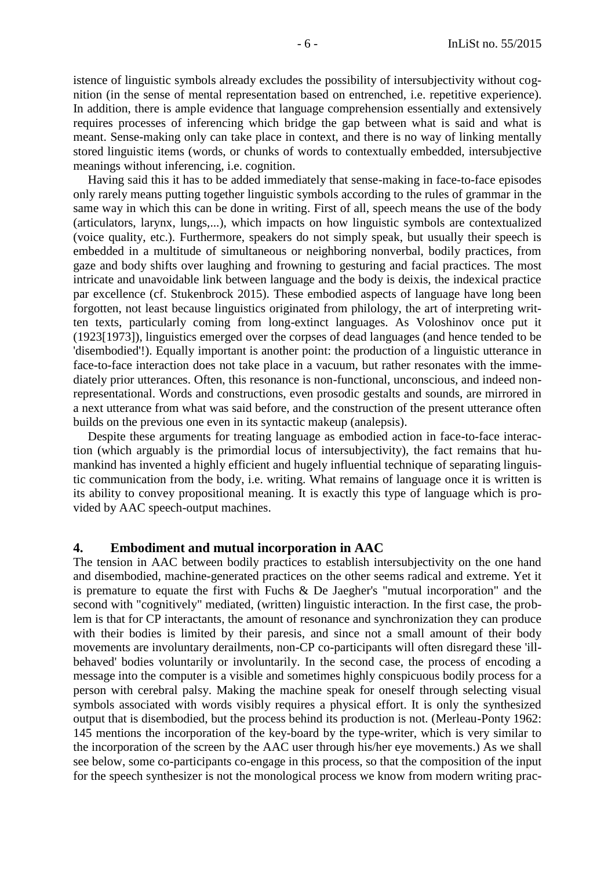istence of linguistic symbols already excludes the possibility of intersubjectivity without cognition (in the sense of mental representation based on entrenched, i.e. repetitive experience). In addition, there is ample evidence that language comprehension essentially and extensively requires processes of inferencing which bridge the gap between what is said and what is meant. Sense-making only can take place in context, and there is no way of linking mentally stored linguistic items (words, or chunks of words to contextually embedded, intersubjective meanings without inferencing, i.e. cognition.

Having said this it has to be added immediately that sense-making in face-to-face episodes only rarely means putting together linguistic symbols according to the rules of grammar in the same way in which this can be done in writing. First of all, speech means the use of the body (articulators, larynx, lungs,...), which impacts on how linguistic symbols are contextualized (voice quality, etc.). Furthermore, speakers do not simply speak, but usually their speech is embedded in a multitude of simultaneous or neighboring nonverbal, bodily practices, from gaze and body shifts over laughing and frowning to gesturing and facial practices. The most intricate and unavoidable link between language and the body is deixis, the indexical practice par excellence (cf. Stukenbrock 2015). These embodied aspects of language have long been forgotten, not least because linguistics originated from philology, the art of interpreting written texts, particularly coming from long-extinct languages. As Voloshinov once put it (1923[1973]), linguistics emerged over the corpses of dead languages (and hence tended to be 'disembodied'!). Equally important is another point: the production of a linguistic utterance in face-to-face interaction does not take place in a vacuum, but rather resonates with the immediately prior utterances. Often, this resonance is non-functional, unconscious, and indeed nonrepresentational. Words and constructions, even prosodic gestalts and sounds, are mirrored in a next utterance from what was said before, and the construction of the present utterance often builds on the previous one even in its syntactic makeup (analepsis).

Despite these arguments for treating language as embodied action in face-to-face interaction (which arguably is the primordial locus of intersubjectivity), the fact remains that humankind has invented a highly efficient and hugely influential technique of separating linguistic communication from the body, i.e. writing. What remains of language once it is written is its ability to convey propositional meaning. It is exactly this type of language which is provided by AAC speech-output machines.

### <span id="page-5-0"></span>**4. Embodiment and mutual incorporation in AAC**

The tension in AAC between bodily practices to establish intersubjectivity on the one hand and disembodied, machine-generated practices on the other seems radical and extreme. Yet it is premature to equate the first with Fuchs & De Jaegher's "mutual incorporation" and the second with "cognitively" mediated, (written) linguistic interaction. In the first case, the problem is that for CP interactants, the amount of resonance and synchronization they can produce with their bodies is limited by their paresis, and since not a small amount of their body movements are involuntary derailments, non-CP co-participants will often disregard these 'illbehaved' bodies voluntarily or involuntarily. In the second case, the process of encoding a message into the computer is a visible and sometimes highly conspicuous bodily process for a person with cerebral palsy. Making the machine speak for oneself through selecting visual symbols associated with words visibly requires a physical effort. It is only the synthesized output that is disembodied, but the process behind its production is not. (Merleau-Ponty 1962: 145 mentions the incorporation of the key-board by the type-writer, which is very similar to the incorporation of the screen by the AAC user through his/her eye movements.) As we shall see below, some co-participants co-engage in this process, so that the composition of the input for the speech synthesizer is not the monological process we know from modern writing prac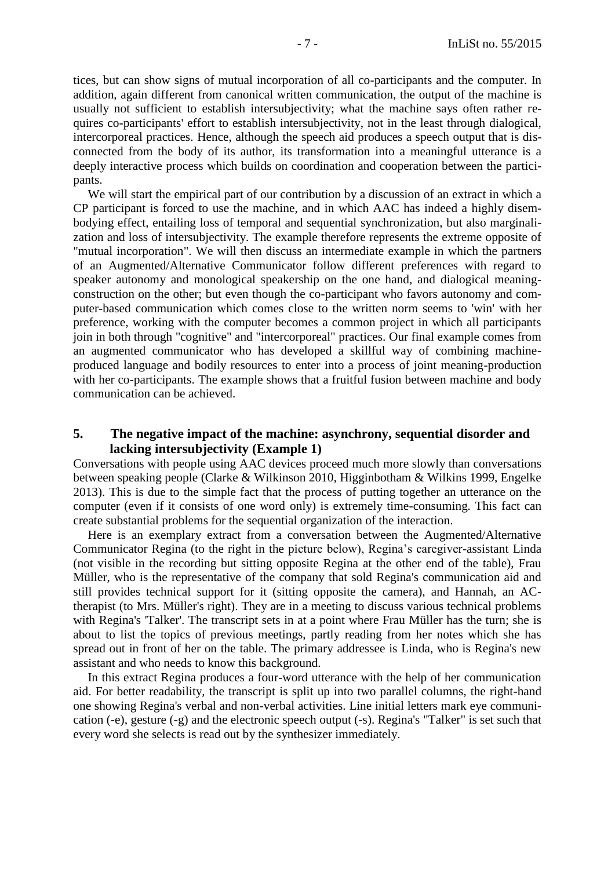tices, but can show signs of mutual incorporation of all co-participants and the computer. In addition, again different from canonical written communication, the output of the machine is usually not sufficient to establish intersubjectivity; what the machine says often rather requires co-participants' effort to establish intersubjectivity, not in the least through dialogical, intercorporeal practices. Hence, although the speech aid produces a speech output that is disconnected from the body of its author, its transformation into a meaningful utterance is a deeply interactive process which builds on coordination and cooperation between the participants.

We will start the empirical part of our contribution by a discussion of an extract in which a CP participant is forced to use the machine, and in which AAC has indeed a highly disembodying effect, entailing loss of temporal and sequential synchronization, but also marginalization and loss of intersubjectivity. The example therefore represents the extreme opposite of "mutual incorporation". We will then discuss an intermediate example in which the partners of an Augmented/Alternative Communicator follow different preferences with regard to speaker autonomy and monological speakership on the one hand, and dialogical meaningconstruction on the other; but even though the co-participant who favors autonomy and computer-based communication which comes close to the written norm seems to 'win' with her preference, working with the computer becomes a common project in which all participants join in both through "cognitive" and "intercorporeal" practices. Our final example comes from an augmented communicator who has developed a skillful way of combining machineproduced language and bodily resources to enter into a process of joint meaning-production with her co-participants. The example shows that a fruitful fusion between machine and body communication can be achieved.

## <span id="page-6-0"></span>**5. The negative impact of the machine: asynchrony, sequential disorder and lacking intersubjectivity (Example 1)**

Conversations with people using AAC devices proceed much more slowly than conversations between speaking people (Clarke & Wilkinson 2010, Higginbotham & Wilkins 1999, Engelke 2013). This is due to the simple fact that the process of putting together an utterance on the computer (even if it consists of one word only) is extremely time-consuming. This fact can create substantial problems for the sequential organization of the interaction.

Here is an exemplary extract from a conversation between the Augmented/Alternative Communicator Regina (to the right in the picture below), Regina's caregiver-assistant Linda (not visible in the recording but sitting opposite Regina at the other end of the table), Frau Müller, who is the representative of the company that sold Regina's communication aid and still provides technical support for it (sitting opposite the camera), and Hannah, an ACtherapist (to Mrs. Müller's right). They are in a meeting to discuss various technical problems with Regina's 'Talker'. The transcript sets in at a point where Frau Müller has the turn; she is about to list the topics of previous meetings, partly reading from her notes which she has spread out in front of her on the table. The primary addressee is Linda, who is Regina's new assistant and who needs to know this background.

In this extract Regina produces a four-word utterance with the help of her communication aid. For better readability, the transcript is split up into two parallel columns, the right-hand one showing Regina's verbal and non-verbal activities. Line initial letters mark eye communication (-e), gesture (-g) and the electronic speech output (-s). Regina's "Talker" is set such that every word she selects is read out by the synthesizer immediately.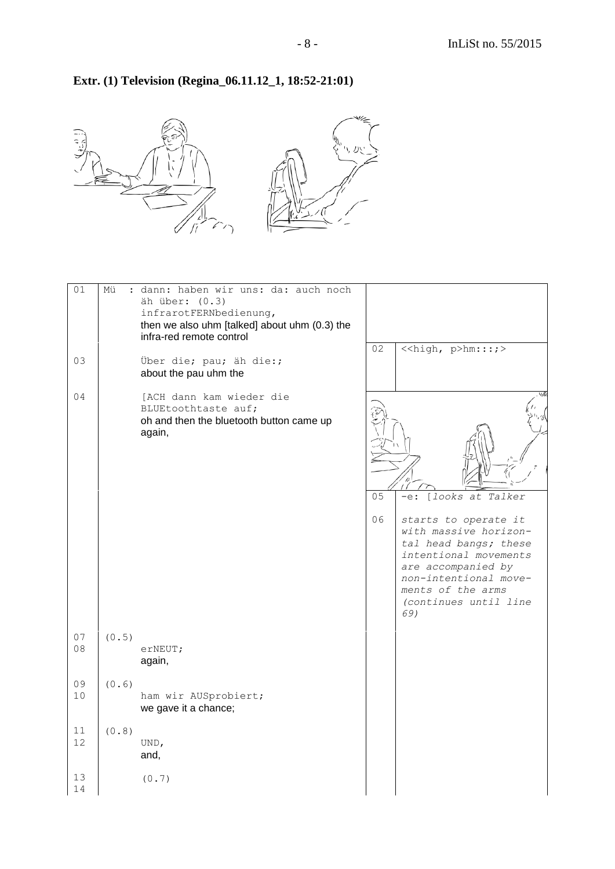٦

# **Extr. (1) Television (Regina\_06.11.12\_1, 18:52-21:01)**



| 01       | Mü    | : dann: haben wir uns: da: auch noch<br>äh über: (0.3)<br>infrarotFERNbedienung,<br>then we also uhm [talked] about uhm (0.3) the<br>infra-red remote control |          |                                                                                                                                                                                                                                   |
|----------|-------|---------------------------------------------------------------------------------------------------------------------------------------------------------------|----------|-----------------------------------------------------------------------------------------------------------------------------------------------------------------------------------------------------------------------------------|
| 03       |       | Über die; pau; äh die:;<br>about the pau uhm the                                                                                                              | 02       | < <high, p="">hm:::;&gt;</high,>                                                                                                                                                                                                  |
| 04       |       | [ACH dann kam wieder die<br>BLUEtoothtaste auf;<br>oh and then the bluetooth button came up<br>again,                                                         | 05<br>06 | [looks at Talker<br>$-e$ :<br>starts to operate it<br>with massive horizon-<br>tal head bangs; these<br>intentional movements<br>are accompanied by<br>non-intentional move-<br>ments of the arms<br>(continues until line<br>69) |
| 07<br>08 | (0.5) | erNEUT;<br>again,                                                                                                                                             |          |                                                                                                                                                                                                                                   |
| 09<br>10 | (0.6) | ham wir AUSprobiert;<br>we gave it a chance;                                                                                                                  |          |                                                                                                                                                                                                                                   |
| 11<br>12 | (0.8) | UND,<br>and,                                                                                                                                                  |          |                                                                                                                                                                                                                                   |
| 13<br>14 |       | (0.7)                                                                                                                                                         |          |                                                                                                                                                                                                                                   |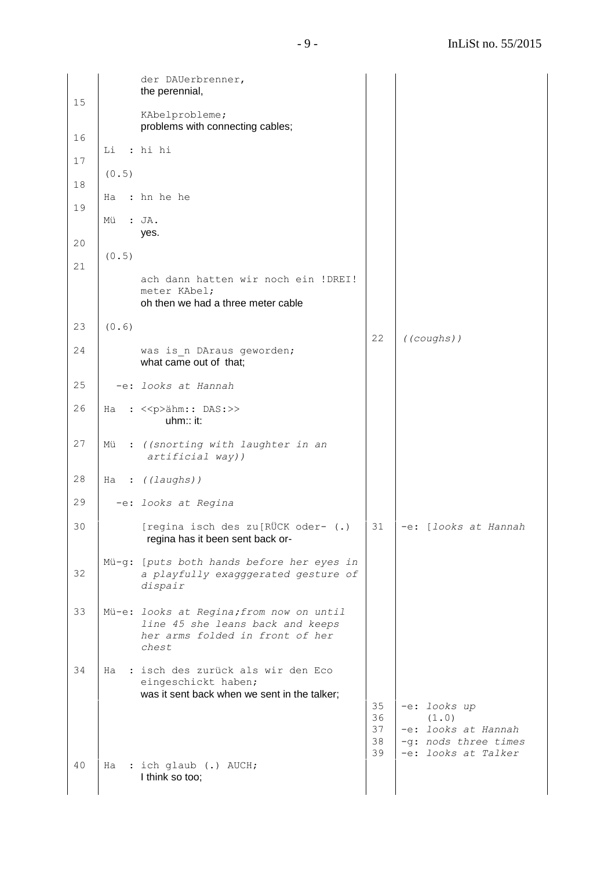| 15 |       | der DAUerbrenner,<br>the perennial,                                                                                      |                |                                                                    |
|----|-------|--------------------------------------------------------------------------------------------------------------------------|----------------|--------------------------------------------------------------------|
|    |       | KAbelprobleme;<br>problems with connecting cables;                                                                       |                |                                                                    |
| 16 | Li    | : hi hi                                                                                                                  |                |                                                                    |
| 17 | (0.5) |                                                                                                                          |                |                                                                    |
| 18 | Ha    | : hn he he                                                                                                               |                |                                                                    |
| 19 | Mü    | : JA.                                                                                                                    |                |                                                                    |
| 20 |       | yes.                                                                                                                     |                |                                                                    |
| 21 | (0.5) |                                                                                                                          |                |                                                                    |
|    |       | ach dann hatten wir noch ein !DREI!<br>meter KAbel;<br>oh then we had a three meter cable                                |                |                                                                    |
| 23 | (0.6) |                                                                                                                          | 22             | ((coughs))                                                         |
| 24 |       | was is n DAraus geworden;<br>what came out of that;                                                                      |                |                                                                    |
| 25 |       | -e: looks at Hannah                                                                                                      |                |                                                                    |
| 26 | Ha    | : << p>ähm: : DAS : >><br>uhm:: it:                                                                                      |                |                                                                    |
| 27 | Mü    | : ((snorting with laughter in an<br>artificial way))                                                                     |                |                                                                    |
| 28 | Ha    | : ((laughs))                                                                                                             |                |                                                                    |
| 29 |       | -e: looks at Regina                                                                                                      |                |                                                                    |
| 30 |       | [regina isch des zu[RÜCK oder- (.)<br>regina has it been sent back or-                                                   | 31             | -e: [looks at Hannah                                               |
| 32 |       | Mü-g: [puts both hands before her eyes in<br>a playfully exagggerated gesture of<br>dispair                              |                |                                                                    |
| 33 |       | Mü-e: looks at Regina; from now on until<br>line 45 she leans back and keeps<br>her arms folded in front of her<br>chest |                |                                                                    |
| 34 |       | Ha : isch des zurück als wir den Eco<br>eingeschickt haben;<br>was it sent back when we sent in the talker;              | 35<br>36       | -e: looks up<br>(1.0)                                              |
|    |       |                                                                                                                          | 37<br>38<br>39 | -e: looks at Hannah<br>-q: nods three times<br>-e: looks at Talker |
| 40 | Ha    | : ich glaub (.) AUCH;<br>I think so too;                                                                                 |                |                                                                    |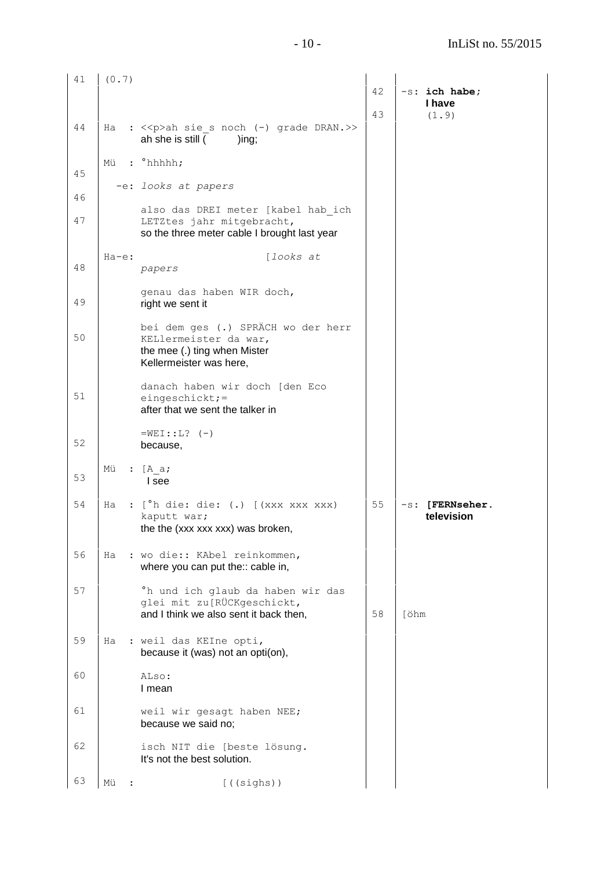| 41 | (0.7)    |                                                                                                                        | 42 | -s: ich habe;                    |
|----|----------|------------------------------------------------------------------------------------------------------------------------|----|----------------------------------|
|    |          |                                                                                                                        | 43 | I have<br>(1.9)                  |
| 44 |          | Ha : << p>ah sie s noch (-) grade DRAN.>><br>ah she is still (<br>)ing;                                                |    |                                  |
| 45 | Mii      | $:$ $^{\circ}$ hhhh;                                                                                                   |    |                                  |
| 46 |          | -e: looks at papers                                                                                                    |    |                                  |
| 47 |          | also das DREI meter [kabel hab ich<br>LETZtes jahr mitgebracht,<br>so the three meter cable I brought last year        |    |                                  |
| 48 | $Ha-e$ : | [looks at<br>papers                                                                                                    |    |                                  |
| 49 |          | genau das haben WIR doch,<br>right we sent it                                                                          |    |                                  |
| 50 |          | bei dem ges (.) SPRÄCH wo der herr<br>KELlermeister da war,<br>the mee (.) ting when Mister<br>Kellermeister was here, |    |                                  |
| 51 |          | danach haben wir doch [den Eco<br>eingeschickt; =<br>after that we sent the talker in                                  |    |                                  |
| 52 |          | $=$ WEI::L? $(-)$<br>because,                                                                                          |    |                                  |
| 53 | Mü       | : $[A \ a;$<br>I see                                                                                                   |    |                                  |
| 54 | Ha       | : [ <sup>°</sup> h die: die: (.) [(xxx xxx xxx)<br>kaputt war;<br>the the (xxx xxx xxx) was broken,                    | 55 | $-s$ : [FERNseher.<br>television |
| 56 |          | Ha : wo die:: KAbel reinkommen,<br>where you can put the:: cable in,                                                   |    |                                  |
| 57 |          | °h und ich glaub da haben wir das<br>glei mit zu[RÜCKgeschickt,<br>and I think we also sent it back then,              | 58 | [öhm                             |
| 59 | Ha       | : weil das KEIne opti,<br>because it (was) not an opti(on),                                                            |    |                                  |
| 60 |          | ALso:<br>I mean                                                                                                        |    |                                  |
| 61 |          | weil wir gesagt haben NEE;<br>because we said no;                                                                      |    |                                  |
| 62 |          | isch NIT die [beste lösung.<br>It's not the best solution.                                                             |    |                                  |
| 63 | Mü       | $[$ ((sighs))                                                                                                          |    |                                  |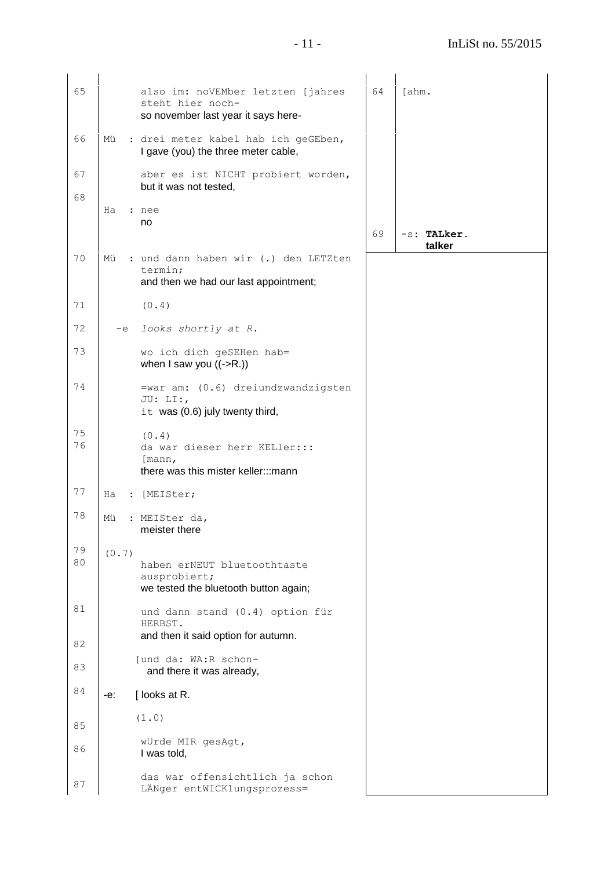| 65       |       | also im: noVEMber letzten [jahres<br>steht hier noch-<br>so november last year it says here- | 64 | [ahm.                 |
|----------|-------|----------------------------------------------------------------------------------------------|----|-----------------------|
| 66       | Mü    | : drei meter kabel hab ich geGEben,<br>I gave (you) the three meter cable,                   |    |                       |
| 67       |       | aber es ist NICHT probiert worden,<br>but it was not tested,                                 |    |                       |
| 68       | Ha    | : nee<br>no                                                                                  |    |                       |
|          |       |                                                                                              | 69 | -s: TALker.<br>talker |
| 70       | Mü    | : und dann haben wir (.) den LETZten<br>termin;<br>and then we had our last appointment;     |    |                       |
| 71       |       | (0.4)                                                                                        |    |                       |
| 72       | $-e$  | looks shortly at R.                                                                          |    |                       |
| 73       |       | wo ich dich geSEHen hab=<br>when I saw you $((\text{-}R.))$                                  |    |                       |
| 74       |       | =war am: (0.6) dreiundzwandzigsten<br>JU: LI:,<br>it was (0.6) july twenty third,            |    |                       |
| 75<br>76 |       | (0.4)<br>da war dieser herr KELler:::<br>[mann,<br>there was this mister keller:::mann       |    |                       |
| 77       | Ha    | : [MEISter;                                                                                  |    |                       |
| 78       | Mü    | : MEISter da,<br>meister there                                                               |    |                       |
| 79<br>80 | (0.7) | haben erNEUT bluetoothtaste<br>ausprobiert;<br>we tested the bluetooth button again;         |    |                       |
| 81       |       | und dann stand (0.4) option für<br>HERBST.                                                   |    |                       |
| 82       |       | and then it said option for autumn.                                                          |    |                       |
| 83       |       | [und da: WA:R schon-<br>and there it was already,                                            |    |                       |
| 84       | -е:   | [looks at R.                                                                                 |    |                       |
| 85       |       | (1.0)                                                                                        |    |                       |
| 86       |       | wUrde MIR gesAgt,<br>I was told,                                                             |    |                       |
| 87       |       | das war offensichtlich ja schon<br>LÄNger entWICKlungsprozess=                               |    |                       |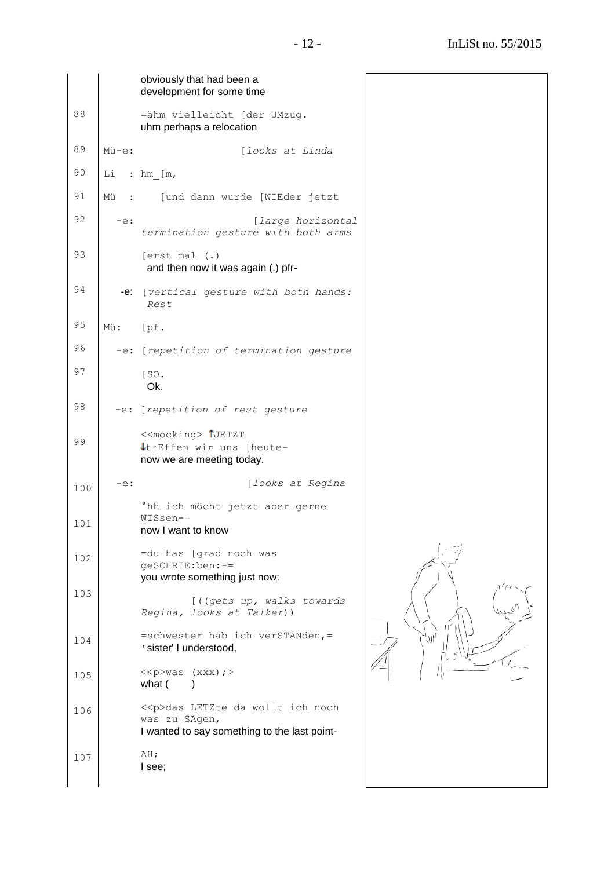|     |        | obviously that had been a<br>development for some time                                                   |  |
|-----|--------|----------------------------------------------------------------------------------------------------------|--|
| 88  |        | =ähm vielleicht [der UMzug.<br>uhm perhaps a relocation                                                  |  |
| 89  | Mü-e:  | [looks at Linda                                                                                          |  |
| 90  |        | Li : $hm [m,$                                                                                            |  |
| 91  | Mü     | : [und dann wurde [WIEder jetzt                                                                          |  |
| 92  | $-e$ : | [large horizontal<br>termination gesture with both arms                                                  |  |
| 93  |        | [erst mal (.)<br>and then now it was again (.) pfr-                                                      |  |
| 94  |        | -e: [vertical gesture with both hands:<br>Rest                                                           |  |
| 95  | Mü:    | [pf.]                                                                                                    |  |
| 96  |        | -e: [repetition of termination gesture                                                                   |  |
| 97  |        | [SO.<br>Ok.                                                                                              |  |
| 98  |        | -e: [repetition of rest gesture                                                                          |  |
| 99  |        | < <mocking> 1JETZT<br/>trEffen wir uns [heute-<br/>now we are meeting today.</mocking>                   |  |
| 100 | $-e$ : | [looks at Regina                                                                                         |  |
| 101 |        | °hh ich möcht jetzt aber gerne<br>$WISsen =$<br>now I want to know                                       |  |
| 102 |        | =du has [grad noch was<br>qeSCHRIE:ben:-=                                                                |  |
| 103 |        | you wrote something just now:                                                                            |  |
|     |        | [((gets up, walks towards<br>Regina, looks at Talker))                                                   |  |
| 104 |        | =schwester hab ich verSTANden, =<br>'sister' I understood,                                               |  |
| 105 |        | $\langle p \rangle$ was (xxx);><br>what (                                                                |  |
| 106 |        | < <p>das LETZte da wollt ich noch<br/>was zu SAgen,<br/>I wanted to say something to the last point-</p> |  |
| 107 |        | AH;<br>I see;                                                                                            |  |
|     |        |                                                                                                          |  |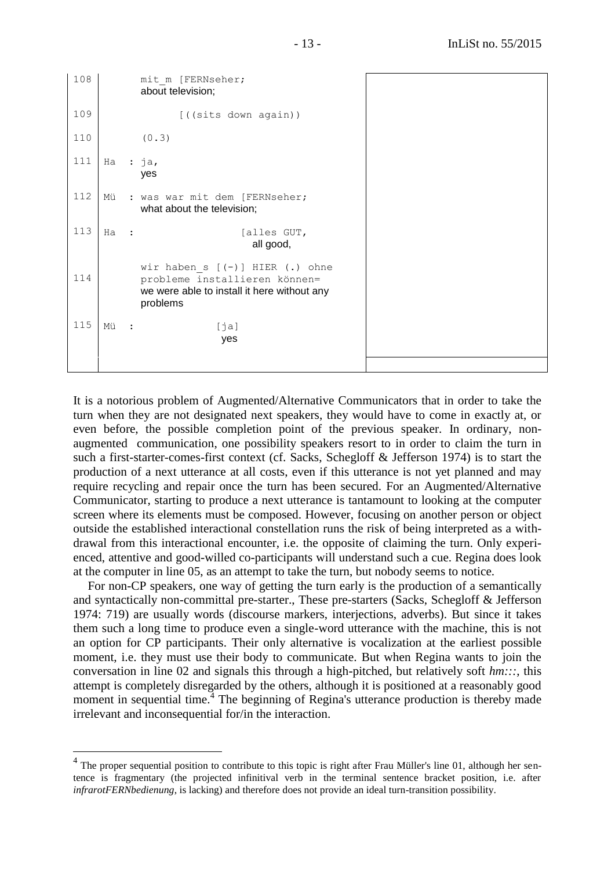```
108
109
110
111
112
113
114
115
           mit m [FERNseher;
            about television;
                   [((sits down again))
             (0.3)
     Ha : ja,
            yes
     Mü : was war mit dem [FERNseher;
            what about the television;
     Ha : [alles GUT,
                                all good,
           wir haben s [(-)] HIER (.) ohne
            probleme installieren können=
            we were able to install it here without any 
            problems
     Mü : [ja]
                          yes
```
It is a notorious problem of Augmented/Alternative Communicators that in order to take the turn when they are not designated next speakers, they would have to come in exactly at, or even before, the possible completion point of the previous speaker. In ordinary, nonaugmented communication, one possibility speakers resort to in order to claim the turn in such a first-starter-comes-first context (cf. Sacks, Schegloff & Jefferson 1974) is to start the production of a next utterance at all costs, even if this utterance is not yet planned and may require recycling and repair once the turn has been secured. For an Augmented/Alternative Communicator, starting to produce a next utterance is tantamount to looking at the computer screen where its elements must be composed. However, focusing on another person or object outside the established interactional constellation runs the risk of being interpreted as a withdrawal from this interactional encounter, i.e. the opposite of claiming the turn. Only experienced, attentive and good-willed co-participants will understand such a cue. Regina does look at the computer in line 05, as an attempt to take the turn, but nobody seems to notice.

For non-CP speakers, one way of getting the turn early is the production of a semantically and syntactically non-committal pre-starter., These pre-starters (Sacks, Schegloff & Jefferson 1974: 719) are usually words (discourse markers, interjections, adverbs). But since it takes them such a long time to produce even a single-word utterance with the machine, this is not an option for CP participants. Their only alternative is vocalization at the earliest possible moment, i.e. they must use their body to communicate. But when Regina wants to join the conversation in line 02 and signals this through a high-pitched, but relatively soft *hm:::*, this attempt is completely disregarded by the others, although it is positioned at a reasonably good moment in sequential time.<sup>4</sup> The beginning of Regina's utterance production is thereby made irrelevant and inconsequential for/in the interaction.

 $\overline{a}$ 

<sup>&</sup>lt;sup>4</sup> The proper sequential position to contribute to this topic is right after Frau Müller's line 01, although her sentence is fragmentary (the projected infinitival verb in the terminal sentence bracket position, i.e. after *infrarotFERNbedienung*, is lacking) and therefore does not provide an ideal turn-transition possibility.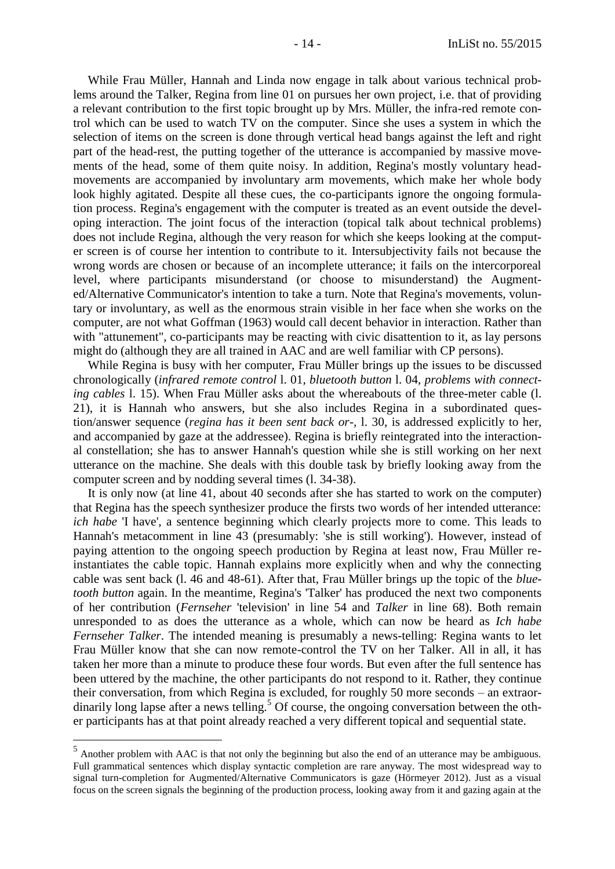While Frau Müller, Hannah and Linda now engage in talk about various technical problems around the Talker, Regina from line 01 on pursues her own project, i.e. that of providing a relevant contribution to the first topic brought up by Mrs. Müller, the infra-red remote control which can be used to watch TV on the computer. Since she uses a system in which the selection of items on the screen is done through vertical head bangs against the left and right part of the head-rest, the putting together of the utterance is accompanied by massive movements of the head, some of them quite noisy. In addition, Regina's mostly voluntary headmovements are accompanied by involuntary arm movements, which make her whole body look highly agitated. Despite all these cues, the co-participants ignore the ongoing formulation process. Regina's engagement with the computer is treated as an event outside the developing interaction. The joint focus of the interaction (topical talk about technical problems) does not include Regina, although the very reason for which she keeps looking at the computer screen is of course her intention to contribute to it. Intersubjectivity fails not because the wrong words are chosen or because of an incomplete utterance; it fails on the intercorporeal level, where participants misunderstand (or choose to misunderstand) the Augmented/Alternative Communicator's intention to take a turn. Note that Regina's movements, voluntary or involuntary, as well as the enormous strain visible in her face when she works on the computer, are not what Goffman (1963) would call decent behavior in interaction. Rather than with "attunement", co-participants may be reacting with civic disattention to it, as lay persons might do (although they are all trained in AAC and are well familiar with CP persons).

While Regina is busy with her computer, Frau Müller brings up the issues to be discussed chronologically (*infrared remote control* l. 01, *bluetooth button* l. 04, *problems with connecting cables* l. 15). When Frau Müller asks about the whereabouts of the three-meter cable (l. 21), it is Hannah who answers, but she also includes Regina in a subordinated question/answer sequence (*regina has it been sent back or-,* l. 30, is addressed explicitly to her, and accompanied by gaze at the addressee). Regina is briefly reintegrated into the interactional constellation; she has to answer Hannah's question while she is still working on her next utterance on the machine. She deals with this double task by briefly looking away from the computer screen and by nodding several times (l. 34-38).

It is only now (at line 41, about 40 seconds after she has started to work on the computer) that Regina has the speech synthesizer produce the firsts two words of her intended utterance: *ich habe* 'I have', a sentence beginning which clearly projects more to come. This leads to Hannah's metacomment in line 43 (presumably: 'she is still working'). However, instead of paying attention to the ongoing speech production by Regina at least now, Frau Müller reinstantiates the cable topic. Hannah explains more explicitly when and why the connecting cable was sent back (l. 46 and 48-61). After that, Frau Müller brings up the topic of the *bluetooth button* again. In the meantime, Regina's 'Talker' has produced the next two components of her contribution (*Fernseher* 'television' in line 54 and *Talker* in line 68). Both remain unresponded to as does the utterance as a whole, which can now be heard as *Ich habe Fernseher Talker*. The intended meaning is presumably a news-telling: Regina wants to let Frau Müller know that she can now remote-control the TV on her Talker. All in all, it has taken her more than a minute to produce these four words. But even after the full sentence has been uttered by the machine, the other participants do not respond to it. Rather, they continue their conversation, from which Regina is excluded, for roughly 50 more seconds – an extraordinarily long lapse after a news telling.<sup>5</sup> Of course, the ongoing conversation between the other participants has at that point already reached a very different topical and sequential state.

<sup>&</sup>lt;sup>5</sup> Another problem with AAC is that not only the beginning but also the end of an utterance may be ambiguous. Full grammatical sentences which display syntactic completion are rare anyway. The most widespread way to signal turn-completion for Augmented/Alternative Communicators is gaze (Hörmeyer 2012). Just as a visual focus on the screen signals the beginning of the production process, looking away from it and gazing again at the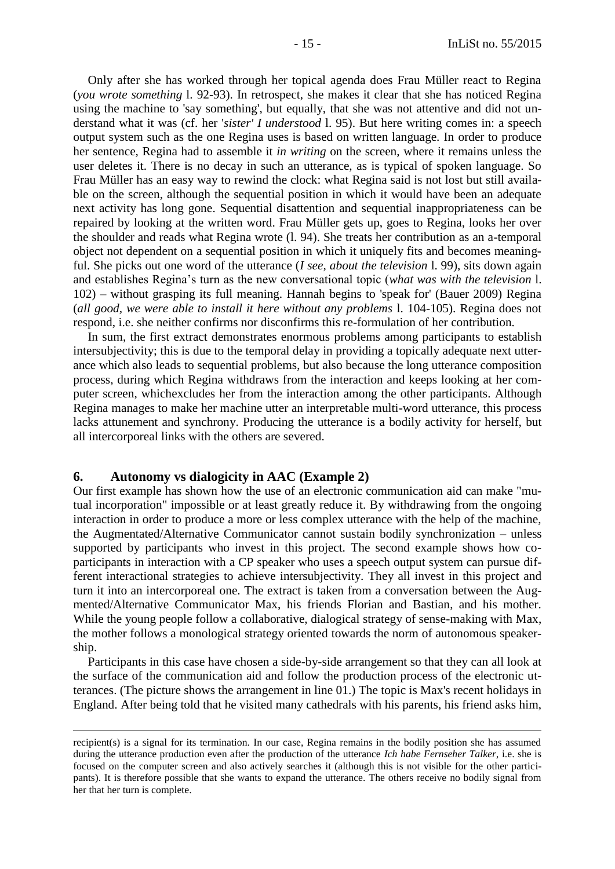Only after she has worked through her topical agenda does Frau Müller react to Regina (*you wrote something* l. 92-93). In retrospect, she makes it clear that she has noticed Regina using the machine to 'say something', but equally, that she was not attentive and did not understand what it was (cf. her '*sister' I understood* l. 95). But here writing comes in: a speech output system such as the one Regina uses is based on written language. In order to produce her sentence, Regina had to assemble it *in writing* on the screen, where it remains unless the user deletes it. There is no decay in such an utterance, as is typical of spoken language. So Frau Müller has an easy way to rewind the clock: what Regina said is not lost but still available on the screen, although the sequential position in which it would have been an adequate next activity has long gone. Sequential disattention and sequential inappropriateness can be repaired by looking at the written word. Frau Müller gets up, goes to Regina, looks her over the shoulder and reads what Regina wrote (l. 94). She treats her contribution as an a-temporal object not dependent on a sequential position in which it uniquely fits and becomes meaningful. She picks out one word of the utterance (*I see, about the television* l. 99), sits down again and establishes Regina's turn as the new conversational topic (*what was with the television* l. 102) – without grasping its full meaning. Hannah begins to 'speak for' (Bauer 2009) Regina (*all good, we were able to install it here without any problems* l. 104-105). Regina does not respond, i.e. she neither confirms nor disconfirms this re-formulation of her contribution.

In sum, the first extract demonstrates enormous problems among participants to establish intersubjectivity; this is due to the temporal delay in providing a topically adequate next utterance which also leads to sequential problems, but also because the long utterance composition process, during which Regina withdraws from the interaction and keeps looking at her computer screen, whichexcludes her from the interaction among the other participants. Although Regina manages to make her machine utter an interpretable multi-word utterance, this process lacks attunement and synchrony. Producing the utterance is a bodily activity for herself, but all intercorporeal links with the others are severed.

## <span id="page-14-0"></span>**6. Autonomy vs dialogicity in AAC (Example 2)**

Our first example has shown how the use of an electronic communication aid can make "mutual incorporation" impossible or at least greatly reduce it. By withdrawing from the ongoing interaction in order to produce a more or less complex utterance with the help of the machine, the Augmentated/Alternative Communicator cannot sustain bodily synchronization – unless supported by participants who invest in this project. The second example shows how coparticipants in interaction with a CP speaker who uses a speech output system can pursue different interactional strategies to achieve intersubjectivity. They all invest in this project and turn it into an intercorporeal one. The extract is taken from a conversation between the Augmented/Alternative Communicator Max, his friends Florian and Bastian, and his mother. While the young people follow a collaborative, dialogical strategy of sense-making with Max, the mother follows a monological strategy oriented towards the norm of autonomous speakership.

Participants in this case have chosen a side-by-side arrangement so that they can all look at the surface of the communication aid and follow the production process of the electronic utterances. (The picture shows the arrangement in line 01.) The topic is Max's recent holidays in England. After being told that he visited many cathedrals with his parents, his friend asks him,

recipient(s) is a signal for its termination. In our case, Regina remains in the bodily position she has assumed during the utterance production even after the production of the utterance *Ich habe Fernseher Talker*, i.e. she is focused on the computer screen and also actively searches it (although this is not visible for the other participants). It is therefore possible that she wants to expand the utterance. The others receive no bodily signal from her that her turn is complete.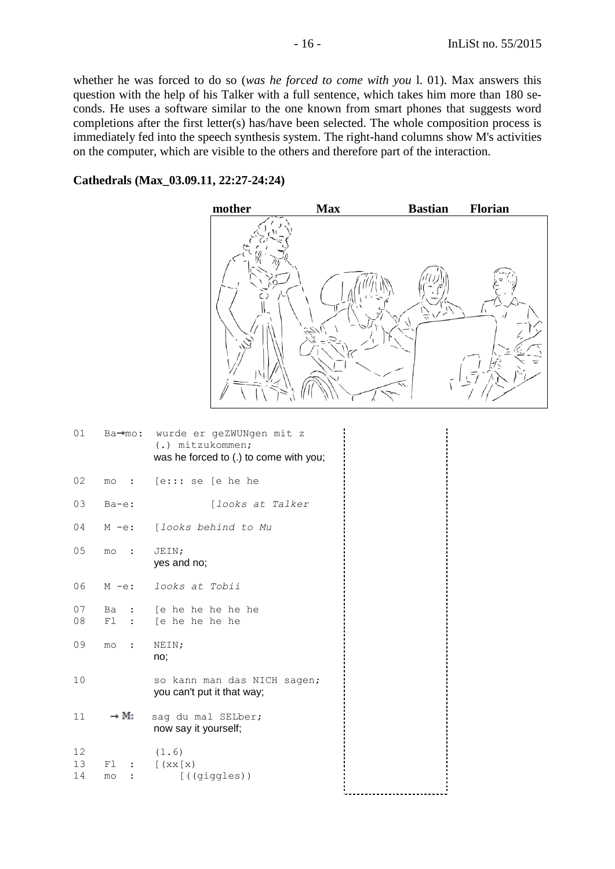whether he was forced to do so (*was he forced to come with you* l. 01). Max answers this question with the help of his Talker with a full sentence, which takes him more than 180 seconds. He uses a software similar to the one known from smart phones that suggests word completions after the first letter(s) has/have been selected. The whole composition process is immediately fed into the speech synthesis system. The right-hand columns show M's activities on the computer, which are visible to the others and therefore part of the interaction.

## **Cathedrals (Max\_03.09.11, 22:27-24:24)**

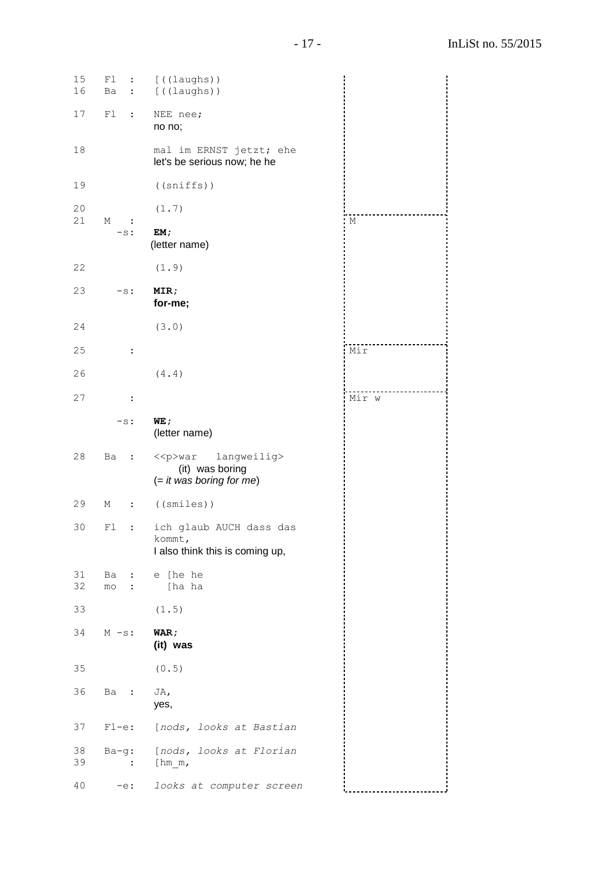15 Fl : [((laughs))<br>16 Ba : [((laughs)) 16 Ba : [((laughs)) 17 Fl : NEE nee; no no; 18 mal im ERNST jetzt; ehe let's be serious now; he he 19 ((sniffs)) 20 (1.7) 21 M : -s: **EM;** (letter name) 22 (1.9) 23 -s: **MIR; for-me;** 24 (3.0) |--------------------<br>| M 25 : 26 (4.4) Mir 27 : -s: **WE;** (letter name) 28 Ba : << p>war langweilig> (it) was boring (= *it was boring for me*) 29 M : ((smiles)) 30 Fl : ich glaub AUCH dass das kommt, I also think this is coming up, 31 Ba : e [he he 32 mo : [ha ha 33 (1.5) 34 M -s: **WAR; (it) was** 35 (0.5) 36 Ba : JA, yes, 37 Fl-e: [*nods, looks at Bastian* 38 Ba-g: [*nods, looks at Florian* 39 : [hm\_m, 40 -e: *looks at computer screen* ....................<br>Mir w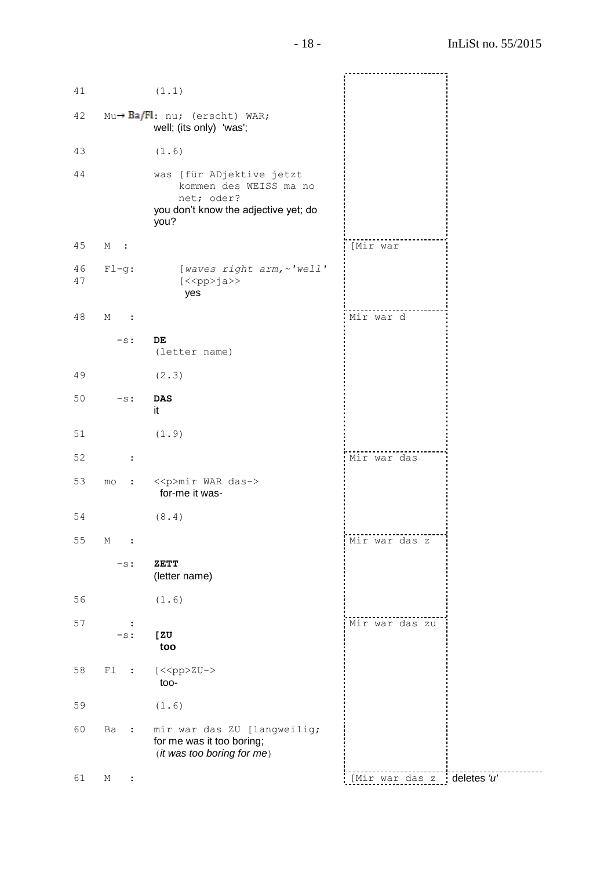| 41       |                            | (1.1)                                                                                                            |                            |  |
|----------|----------------------------|------------------------------------------------------------------------------------------------------------------|----------------------------|--|
| 42       |                            | $Mu \rightarrow Ba/Fl$ : nu; (erscht) WAR;<br>well; (its only) 'was';                                            |                            |  |
| 43       |                            | (1.6)                                                                                                            |                            |  |
| 44       |                            | was [für ADjektive jetzt<br>kommen des WEISS ma no<br>net; oder?<br>you don't know the adjective yet; do<br>you? |                            |  |
| $4\,5$   | М<br>$\mathbf{L}$          |                                                                                                                  | [Mir war                   |  |
| 46<br>47 | $Fl-g:$                    | [waves right arm, ~ 'well'<br>$[<\n$ p>ja>><br>yes                                                               |                            |  |
| 48       | М<br>$\ddot{\cdot}$        |                                                                                                                  | Mir war d                  |  |
|          | $-s$ :                     | DE<br>(letter name)                                                                                              |                            |  |
| 49       |                            | (2.3)                                                                                                            |                            |  |
| 50       | $-s$ :                     | $\mathbf{D}\mathbf{A}\mathbf{S}$<br>it                                                                           |                            |  |
| 51       |                            | (1.9)                                                                                                            |                            |  |
| 52       | $\ddot{\cdot}$             |                                                                                                                  | Mir war das                |  |
| 53       | mo<br>$\ddot{\phantom{a}}$ | < <p>mir WAR das-&gt;<br/>for-me it was-</p>                                                                     |                            |  |
| 54       |                            | (8.4)                                                                                                            |                            |  |
| 55       | М<br>$\ddot{\cdot}$        |                                                                                                                  | Mir war das z              |  |
|          | $-s$ :                     | ZETT<br>(letter name)                                                                                            |                            |  |
| 56       |                            | (1.6)                                                                                                            |                            |  |
| 57       | $\ddot{\cdot}$<br>$-s:$    | [ ZU<br>too                                                                                                      | Mir war das zu             |  |
| 58       | F1<br>$\ddot{\phantom{a}}$ | [< <pp>zu-&gt;<br/>too-</pp>                                                                                     |                            |  |
| 59       |                            | (1.6)                                                                                                            |                            |  |
| 60       | Ba<br>$\ddot{\phantom{a}}$ | mir war das ZU [langweilig;<br>for me was it too boring;<br>(it was too boring for me)                           |                            |  |
| 61       | М<br>$\ddot{\cdot}$        |                                                                                                                  | [Mir war das z deletes 'u' |  |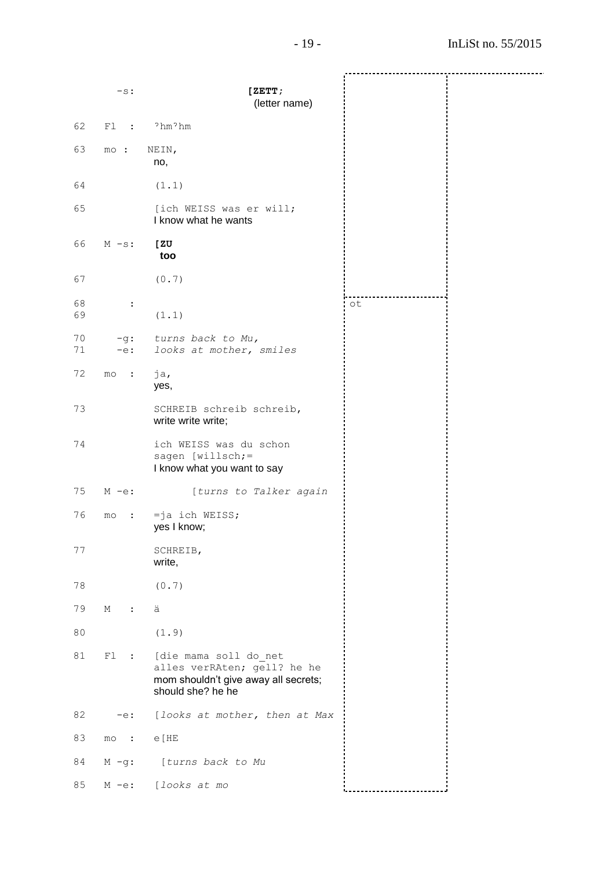----------------------------------------- -s: **[ZETT;** (letter name) 62 Fl : ˀhmˀhm 63 mo : NEIN, no, 64 (1.1) 65 [ich WEISS was er will; I know what he wants 66 M -s: **[ZU too** 67 (0.7) 68 : ot69 (1.1) 70 -g: *turns back to Mu,* 71 -e: *looks at mother, smiles* 72 mo : ja, yes, 73 SCHREIB schreib schreib, write write write; 74 ich WEISS was du schon sagen [willsch;= I know what you want to say 75 M -e: [*turns to Talker again*  76 mo : =ja ich WEISS; yes I know; 77 SCHREIB, write, 78 (0.7) 79 M : ä 80 (1.9) 81 Fl : [die mama soll do\_net alles verRAten; gell? he he mom shouldn't give away all secrets; should she? he he 82 -e: [*looks at mother, then at Max* 83 mo : e[HE 84 M -g: [*turns back to Mu* 85 M -e: [*looks at mo*  . . . . . . . . . . . . . . . . . . .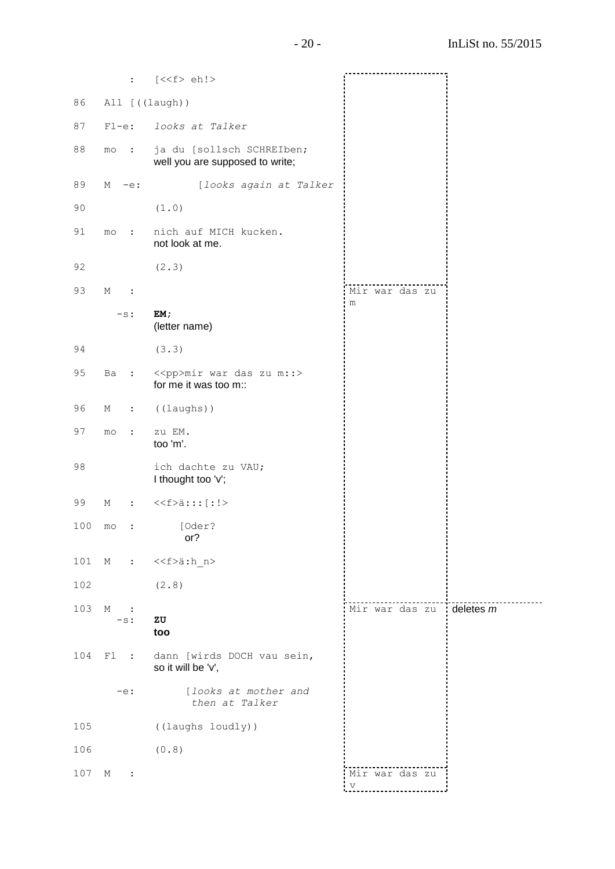|     | $\ddot{\phantom{a}}$       | $[\langle < f > eh  >$                                       |                                         |           |
|-----|----------------------------|--------------------------------------------------------------|-----------------------------------------|-----------|
| 86  | All [((laugh))             |                                                              |                                         |           |
| 87  | $Fl-e:$                    | looks at Talker                                              |                                         |           |
|     |                            |                                                              |                                         |           |
| 88  | mo<br>$\ddot{\cdot}$       | ja du [sollsch SCHREIben;<br>well you are supposed to write; |                                         |           |
| 89  | М<br>$-e$ :                | [looks again at Talker                                       |                                         |           |
| 90  |                            | (1.0)                                                        |                                         |           |
| 91  | $\ddot{\phantom{a}}$<br>mo | nich auf MICH kucken.<br>not look at me.                     |                                         |           |
| 92  |                            | (2.3)                                                        |                                         |           |
| 93  | М<br>$\ddot{\cdot}$        |                                                              | Mir war das zu                          |           |
|     | $-s$ :                     | EM;                                                          | m                                       |           |
|     |                            | (letter name)                                                |                                         |           |
| 94  |                            | (3.3)                                                        |                                         |           |
| 95  | Ba<br>$\ddot{\phantom{a}}$ | < <pp>mir war das zu m::&gt;<br/>for me it was too m::</pp>  |                                         |           |
| 96  | М<br>$\ddot{\phantom{a}}$  | ((laughs))                                                   |                                         |           |
| 97  | mo<br>$\ddot{\cdot}$       | zu EM.<br>too 'm'.                                           |                                         |           |
| 98  |                            | ich dachte zu VAU;<br>I thought too 'v';                     |                                         |           |
| 99  | М<br>$\ddot{\cdot}$        | < <f>ä::: [: !&gt;</f>                                       |                                         |           |
| 100 | $_{\text{mo}}$             | [Oder?<br>or?                                                |                                         |           |
| 101 |                            | $M : \langle \langle f \rangle$ ä:h n>                       |                                         |           |
| 102 |                            | (2.8)                                                        |                                         |           |
| 103 | М<br>$\ddot{\phantom{1}}$  |                                                              | Mir war das zu                          | deletes m |
|     | $-s$ :                     | ZU<br>too                                                    |                                         |           |
| 104 | Fl<br>$\sim$ 1.            | dann [wirds DOCH vau sein,<br>so it will be 'v',             |                                         |           |
|     | $-e$ :                     | [looks at mother and<br>then at Talker                       |                                         |           |
| 105 |                            | ((laughs loudly))                                            |                                         |           |
| 106 |                            | (0.8)                                                        |                                         |           |
| 107 | М<br>$\ddot{\phantom{1}}$  |                                                              | Mir war das zu<br>$\boldsymbol{\nabla}$ |           |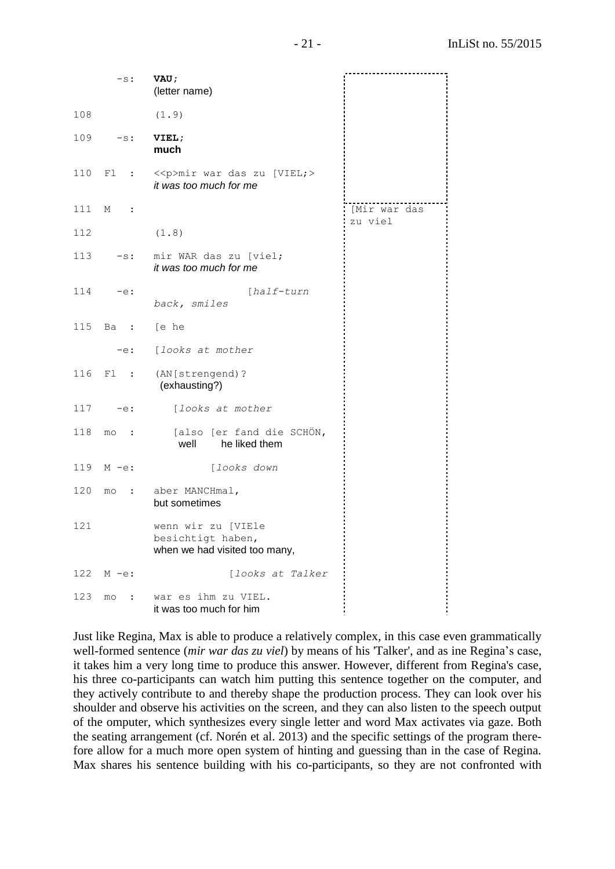|     |                           | $-s$ : VAU;<br>(letter name)                                             |              |
|-----|---------------------------|--------------------------------------------------------------------------|--------------|
| 108 |                           | (1.9)                                                                    |              |
|     | $109 - s$ :               | VIEL;<br>much                                                            |              |
|     |                           | 110 Fl : << p>mir war das zu [VIEL; ><br>it was too much for me          |              |
| 111 | М<br>$\sim$ $\sim$ $\sim$ |                                                                          | [Mir war das |
| 112 |                           | (1.8)                                                                    | zu viel      |
|     |                           | 113 -s: mir WAR das zu [viel;<br>it was too much for me                  |              |
|     | $114 - e$ :               | [half-turn<br>back, smiles                                               |              |
|     | 115 Ba : [e he            |                                                                          |              |
|     | $-e$ :                    | [looks at mother                                                         |              |
|     |                           | 116 Fl : (AN[strengend)?<br>(exhausting?)                                |              |
|     | $117 - e$ :               | [looks at mother                                                         |              |
| 118 |                           | mo : [also [er fand die SCHÖN,<br>well<br>he liked them                  |              |
|     | 119 $M - e$ :             | [looks down                                                              |              |
| 120 |                           | mo : aber MANCHmal,<br>but sometimes                                     |              |
| 121 |                           | wenn wir zu [VIEle<br>besichtigt haben,<br>when we had visited too many, |              |
| 122 | $M - e$ :                 | [looks at Talker                                                         |              |
| 123 | mo<br>$\sim$ :            | war es ihm zu VIEL.<br>it was too much for him                           |              |

Just like Regina, Max is able to produce a relatively complex, in this case even grammatically well-formed sentence (*mir war das zu viel*) by means of his 'Talker', and as ine Regina's case, it takes him a very long time to produce this answer. However, different from Regina's case, his three co-participants can watch him putting this sentence together on the computer, and they actively contribute to and thereby shape the production process. They can look over his shoulder and observe his activities on the screen, and they can also listen to the speech output of the omputer, which synthesizes every single letter and word Max activates via gaze. Both the seating arrangement (cf. Norén et al. 2013) and the specific settings of the program therefore allow for a much more open system of hinting and guessing than in the case of Regina. Max shares his sentence building with his co-participants, so they are not confronted with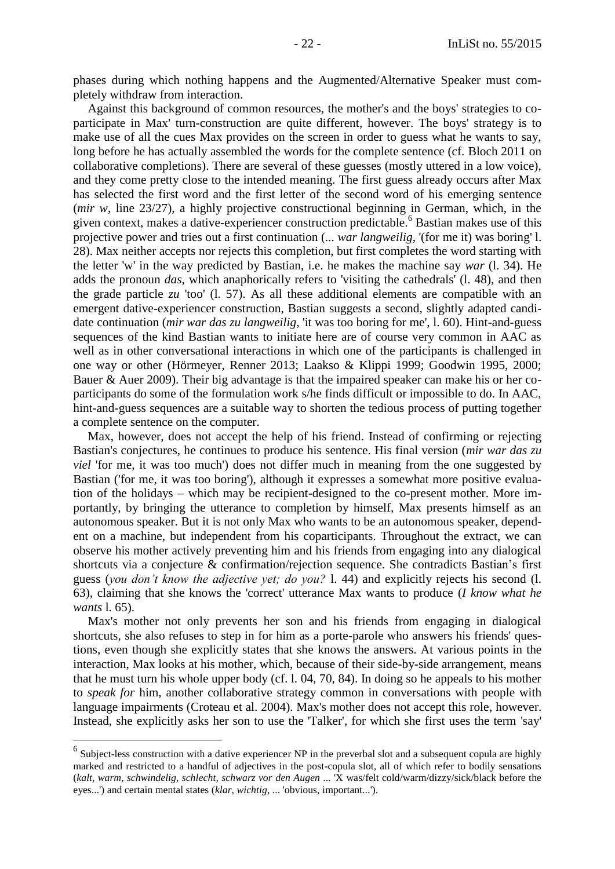phases during which nothing happens and the Augmented/Alternative Speaker must completely withdraw from interaction.

Against this background of common resources, the mother's and the boys' strategies to coparticipate in Max' turn-construction are quite different, however. The boys' strategy is to make use of all the cues Max provides on the screen in order to guess what he wants to say, long before he has actually assembled the words for the complete sentence (cf. Bloch 2011 on collaborative completions). There are several of these guesses (mostly uttered in a low voice), and they come pretty close to the intended meaning. The first guess already occurs after Max has selected the first word and the first letter of the second word of his emerging sentence (*mir w*, line 23/27), a highly projective constructional beginning in German, which, in the given context, makes a dative-experiencer construction predictable.<sup>6</sup> Bastian makes use of this projective power and tries out a first continuation (*... war langweilig*, '(for me it) was boring' l. 28). Max neither accepts nor rejects this completion, but first completes the word starting with the letter 'w' in the way predicted by Bastian, i.e. he makes the machine say *war* (l. 34). He adds the pronoun *das*, which anaphorically refers to 'visiting the cathedrals' (l. 48), and then the grade particle *zu* 'too' (l. 57). As all these additional elements are compatible with an emergent dative-experiencer construction, Bastian suggests a second, slightly adapted candidate continuation (*mir war das zu langweilig*, 'it was too boring for me', l. 60). Hint-and-guess sequences of the kind Bastian wants to initiate here are of course very common in AAC as well as in other conversational interactions in which one of the participants is challenged in one way or other (Hörmeyer, Renner 2013; Laakso & Klippi 1999; Goodwin 1995, 2000; Bauer & Auer 2009). Their big advantage is that the impaired speaker can make his or her coparticipants do some of the formulation work s/he finds difficult or impossible to do. In AAC, hint-and-guess sequences are a suitable way to shorten the tedious process of putting together a complete sentence on the computer.

Max, however, does not accept the help of his friend. Instead of confirming or rejecting Bastian's conjectures, he continues to produce his sentence. His final version (*mir war das zu viel* 'for me, it was too much') does not differ much in meaning from the one suggested by Bastian ('for me, it was too boring'), although it expresses a somewhat more positive evaluation of the holidays – which may be recipient-designed to the co-present mother. More importantly, by bringing the utterance to completion by himself, Max presents himself as an autonomous speaker. But it is not only Max who wants to be an autonomous speaker, dependent on a machine, but independent from his coparticipants. Throughout the extract, we can observe his mother actively preventing him and his friends from engaging into any dialogical shortcuts via a conjecture & confirmation/rejection sequence. She contradicts Bastian's first guess (*you don't know the adjective yet; do you?* l. 44) and explicitly rejects his second (l. 63), claiming that she knows the 'correct' utterance Max wants to produce (*I know what he wants* l. 65).

Max's mother not only prevents her son and his friends from engaging in dialogical shortcuts, she also refuses to step in for him as a porte-parole who answers his friends' questions, even though she explicitly states that she knows the answers. At various points in the interaction, Max looks at his mother, which, because of their side-by-side arrangement, means that he must turn his whole upper body (cf. l. 04, 70, 84). In doing so he appeals to his mother to *speak for* him, another collaborative strategy common in conversations with people with language impairments (Croteau et al. 2004). Max's mother does not accept this role, however. Instead, she explicitly asks her son to use the 'Talker', for which she first uses the term 'say'

 6 Subject-less construction with a dative experiencer NP in the preverbal slot and a subsequent copula are highly marked and restricted to a handful of adjectives in the post-copula slot, all of which refer to bodily sensations (*kalt, warm, schwindelig, schlecht*, *schwarz vor den Augen* ... 'X was/felt cold/warm/dizzy/sick/black before the eyes...') and certain mental states (*klar, wichtig*, ... 'obvious, important...').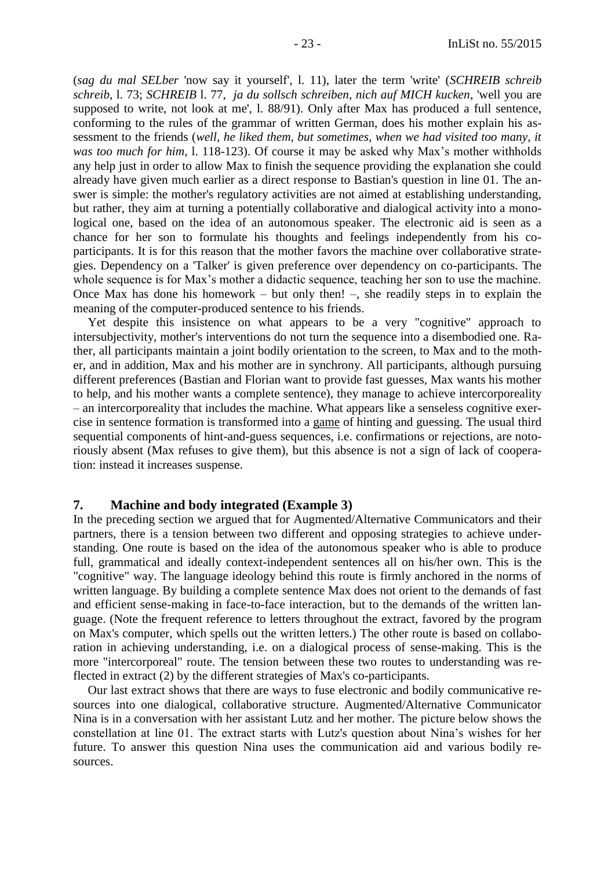(*sag du mal SELber* 'now say it yourself', l. 11), later the term 'write' (*SCHREIB schreib schreib*, l. 73; *SCHREIB* l. 77, *ja du sollsch schreiben, nich auf MICH kucken*, 'well you are supposed to write, not look at me', l. 88/91). Only after Max has produced a full sentence, conforming to the rules of the grammar of written German, does his mother explain his assessment to the friends (*well, he liked them, but sometimes, when we had visited too many, it was too much for him,* l. 118-123). Of course it may be asked why Max's mother withholds any help just in order to allow Max to finish the sequence providing the explanation she could already have given much earlier as a direct response to Bastian's question in line 01. The answer is simple: the mother's regulatory activities are not aimed at establishing understanding, but rather, they aim at turning a potentially collaborative and dialogical activity into a monological one, based on the idea of an autonomous speaker. The electronic aid is seen as a chance for her son to formulate his thoughts and feelings independently from his coparticipants. It is for this reason that the mother favors the machine over collaborative strategies. Dependency on a 'Talker' is given preference over dependency on co-participants. The whole sequence is for Max's mother a didactic sequence, teaching her son to use the machine. Once Max has done his homework – but only then! –, she readily steps in to explain the meaning of the computer-produced sentence to his friends.

Yet despite this insistence on what appears to be a very "cognitive" approach to intersubjectivity, mother's interventions do not turn the sequence into a disembodied one. Rather, all participants maintain a joint bodily orientation to the screen, to Max and to the mother, and in addition, Max and his mother are in synchrony. All participants, although pursuing different preferences (Bastian and Florian want to provide fast guesses, Max wants his mother to help, and his mother wants a complete sentence), they manage to achieve intercorporeality – an intercorporeality that includes the machine. What appears like a senseless cognitive exercise in sentence formation is transformed into a game of hinting and guessing. The usual third sequential components of hint-and-guess sequences, i.e. confirmations or rejections, are notoriously absent (Max refuses to give them), but this absence is not a sign of lack of cooperation: instead it increases suspense.

### <span id="page-22-0"></span>**7. Machine and body integrated (Example 3)**

In the preceding section we argued that for Augmented/Alternative Communicators and their partners, there is a tension between two different and opposing strategies to achieve understanding. One route is based on the idea of the autonomous speaker who is able to produce full, grammatical and ideally context-independent sentences all on his/her own. This is the "cognitive" way. The language ideology behind this route is firmly anchored in the norms of written language. By building a complete sentence Max does not orient to the demands of fast and efficient sense-making in face-to-face interaction, but to the demands of the written language. (Note the frequent reference to letters throughout the extract, favored by the program on Max's computer, which spells out the written letters.) The other route is based on collaboration in achieving understanding, i.e. on a dialogical process of sense-making. This is the more "intercorporeal" route. The tension between these two routes to understanding was reflected in extract (2) by the different strategies of Max's co-participants.

Our last extract shows that there are ways to fuse electronic and bodily communicative resources into one dialogical, collaborative structure. Augmented/Alternative Communicator Nina is in a conversation with her assistant Lutz and her mother. The picture below shows the constellation at line 01. The extract starts with Lutz's question about Nina's wishes for her future. To answer this question Nina uses the communication aid and various bodily resources.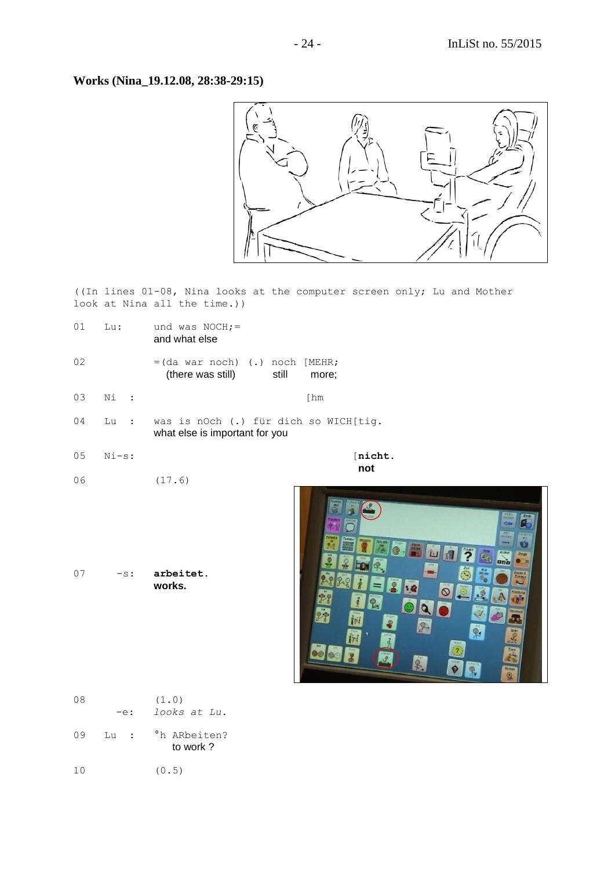**Works (Nina\_19.12.08, 28:38-29:15)**



((In lines 01-08, Nina looks at the computer screen only; Lu and Mother look at Nina all the time.))

- 01 Lu: und was  $NOCH$ ;= and what else
- $02 = (da war noch)$  (.) noch  $[MEHR;$ (there was still) still more;
- 03 Ni : [hm
- 04 Lu : was is nOch (.) für dich so WICH[tig. what else is important for you
- 05 Ni-s: [**nicht.**

**notice that the contract of the contract of the contract of the contract of the contract of the contract of th** 06 (17.6)

07 -s: **arbeitet. works.**



| 08  | -e:             | (1.0)<br>looks at Lu.    |
|-----|-----------------|--------------------------|
| 09  | Lu<br>$\sim$ 1. | °h ARbeiten?<br>to work? |
| 1 N |                 | (0.5)                    |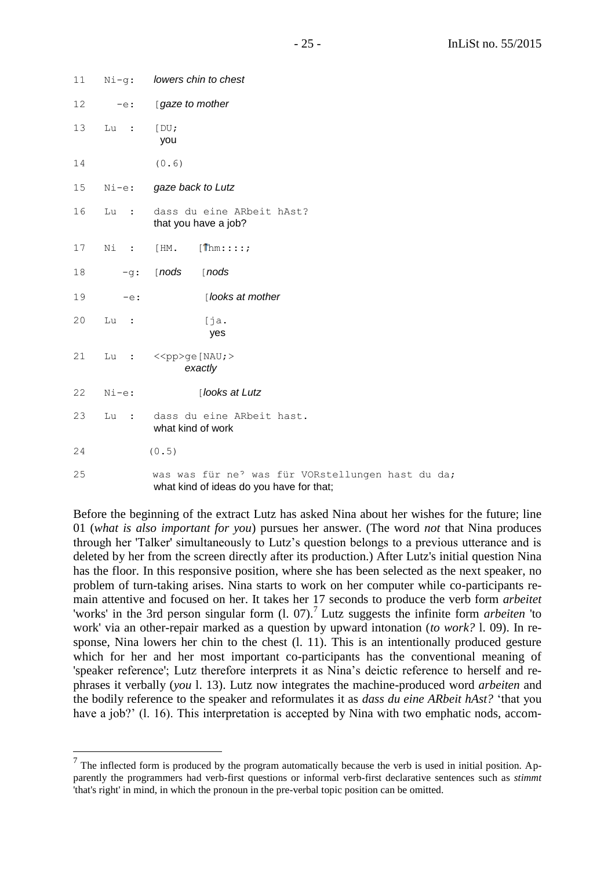| 11 | $Ni-q:$        | lowers chin to chest                                                                          |
|----|----------------|-----------------------------------------------------------------------------------------------|
| 12 | $-e$ :         | [gaze to mother                                                                               |
| 13 | Lu<br>$\ddots$ | [DU;<br>you                                                                                   |
| 14 |                | (0.6)                                                                                         |
| 15 | $Ni-e:$        | gaze back to Lutz                                                                             |
| 16 | Lu :           | dass du eine ARbeit hAst?<br>that you have a job?                                             |
| 17 | Ni :           | $[1]$ hm::::;<br>[HM.                                                                         |
| 18 | $-q:$          | $[$ nods<br>$[$ nods                                                                          |
| 19 | $-e$ :         | [looks at mother                                                                              |
| 20 | Lu<br>$\sim$ : | [ja.]<br>yes                                                                                  |
| 21 | Lu             | $\colon$ < <pp>ge [NAU; &gt;<br/>exactly</pp>                                                 |
| 22 | $Ni-e:$        | [looks at Lutz                                                                                |
| 23 | Lu<br>$\sim$ : | dass du eine ARbeit hast.<br>what kind of work                                                |
| 24 |                | (0.5)                                                                                         |
| 25 |                | was was für ne? was für VORstellungen hast du da;<br>what kind of ideas do you have for that; |

Before the beginning of the extract Lutz has asked Nina about her wishes for the future; line 01 (*what is also important for you*) pursues her answer. (The word *not* that Nina produces through her 'Talker' simultaneously to Lutz's question belongs to a previous utterance and is deleted by her from the screen directly after its production.) After Lutz's initial question Nina has the floor. In this responsive position, where she has been selected as the next speaker, no problem of turn-taking arises. Nina starts to work on her computer while co-participants remain attentive and focused on her. It takes her 17 seconds to produce the verb form *arbeitet* 'works' in the 3rd person singular form (l. 07).<sup>7</sup> Lutz suggests the infinite form *arbeiten* 'to work' via an other-repair marked as a question by upward intonation (*to work?* l. 09). In response, Nina lowers her chin to the chest (l. 11). This is an intentionally produced gesture which for her and her most important co-participants has the conventional meaning of 'speaker reference'; Lutz therefore interprets it as Nina's deictic reference to herself and rephrases it verbally (*you* l. 13). Lutz now integrates the machine-produced word *arbeiten* and the bodily reference to the speaker and reformulates it as *dass du eine ARbeit hAst?* 'that you have a job?' (l. 16). This interpretation is accepted by Nina with two emphatic nods, accom-

 $\overline{a}$ 

 $<sup>7</sup>$  The inflected form is produced by the program automatically because the verb is used in initial position. Ap-</sup> parently the programmers had verb-first questions or informal verb-first declarative sentences such as *stimmt* 'that's right' in mind, in which the pronoun in the pre-verbal topic position can be omitted.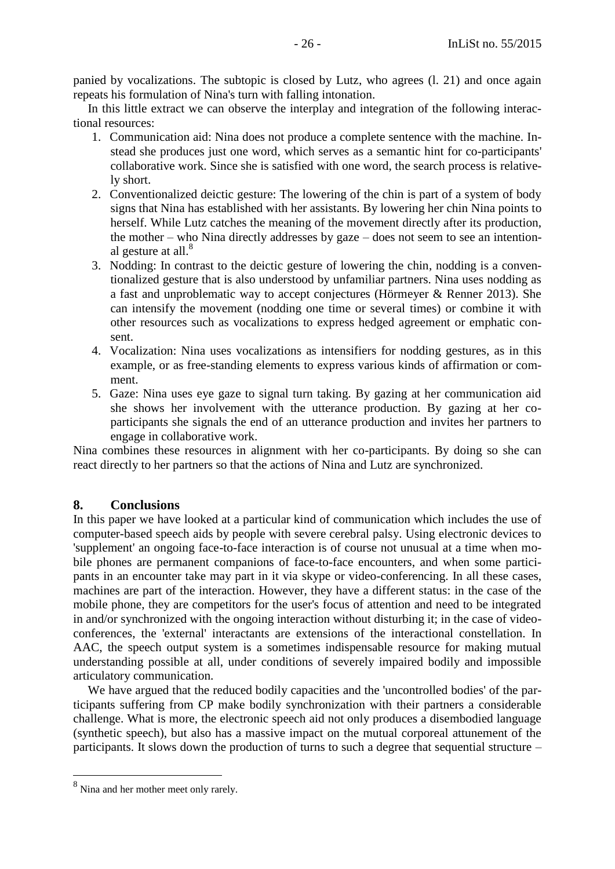panied by vocalizations. The subtopic is closed by Lutz, who agrees (l. 21) and once again repeats his formulation of Nina's turn with falling intonation.

In this little extract we can observe the interplay and integration of the following interactional resources:

- 1. Communication aid: Nina does not produce a complete sentence with the machine. Instead she produces just one word, which serves as a semantic hint for co-participants' collaborative work. Since she is satisfied with one word, the search process is relatively short.
- 2. Conventionalized deictic gesture: The lowering of the chin is part of a system of body signs that Nina has established with her assistants. By lowering her chin Nina points to herself. While Lutz catches the meaning of the movement directly after its production, the mother – who Nina directly addresses by gaze – does not seem to see an intentional gesture at all.<sup>8</sup>
- 3. Nodding: In contrast to the deictic gesture of lowering the chin, nodding is a conventionalized gesture that is also understood by unfamiliar partners. Nina uses nodding as a fast and unproblematic way to accept conjectures (Hörmeyer & Renner 2013). She can intensify the movement (nodding one time or several times) or combine it with other resources such as vocalizations to express hedged agreement or emphatic consent.
- 4. Vocalization: Nina uses vocalizations as intensifiers for nodding gestures, as in this example, or as free-standing elements to express various kinds of affirmation or comment.
- 5. Gaze: Nina uses eye gaze to signal turn taking. By gazing at her communication aid she shows her involvement with the utterance production. By gazing at her coparticipants she signals the end of an utterance production and invites her partners to engage in collaborative work.

Nina combines these resources in alignment with her co-participants. By doing so she can react directly to her partners so that the actions of Nina and Lutz are synchronized.

# <span id="page-25-0"></span>**8. Conclusions**

In this paper we have looked at a particular kind of communication which includes the use of computer-based speech aids by people with severe cerebral palsy. Using electronic devices to 'supplement' an ongoing face-to-face interaction is of course not unusual at a time when mobile phones are permanent companions of face-to-face encounters, and when some participants in an encounter take may part in it via skype or video-conferencing. In all these cases, machines are part of the interaction. However, they have a different status: in the case of the mobile phone, they are competitors for the user's focus of attention and need to be integrated in and/or synchronized with the ongoing interaction without disturbing it; in the case of videoconferences, the 'external' interactants are extensions of the interactional constellation. In AAC, the speech output system is a sometimes indispensable resource for making mutual understanding possible at all, under conditions of severely impaired bodily and impossible articulatory communication.

We have argued that the reduced bodily capacities and the 'uncontrolled bodies' of the participants suffering from CP make bodily synchronization with their partners a considerable challenge. What is more, the electronic speech aid not only produces a disembodied language (synthetic speech), but also has a massive impact on the mutual corporeal attunement of the participants. It slows down the production of turns to such a degree that sequential structure –

<sup>8&</sup>lt;br><sup>8</sup> Nina and her mother meet only rarely.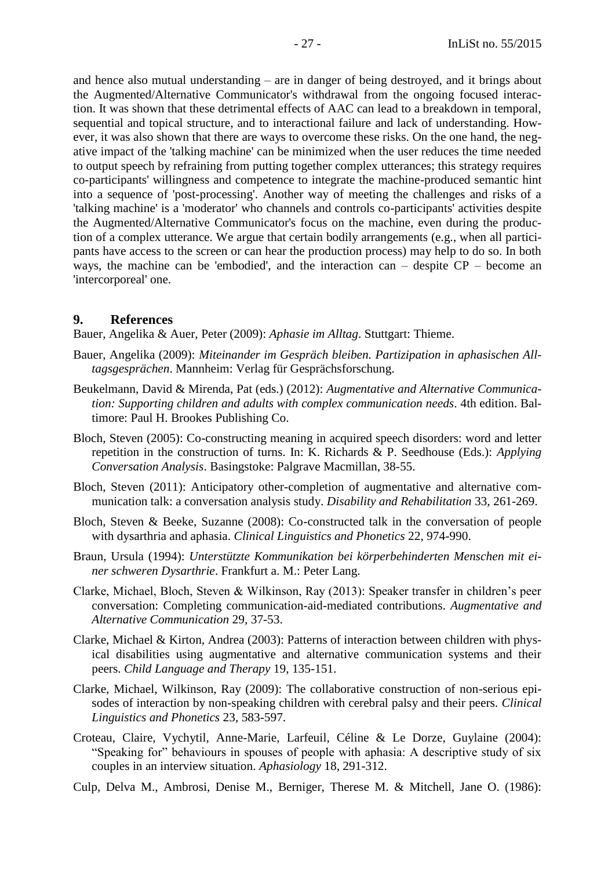and hence also mutual understanding – are in danger of being destroyed, and it brings about the Augmented/Alternative Communicator's withdrawal from the ongoing focused interaction. It was shown that these detrimental effects of AAC can lead to a breakdown in temporal, sequential and topical structure, and to interactional failure and lack of understanding. However, it was also shown that there are ways to overcome these risks. On the one hand, the negative impact of the 'talking machine' can be minimized when the user reduces the time needed to output speech by refraining from putting together complex utterances; this strategy requires co-participants' willingness and competence to integrate the machine-produced semantic hint into a sequence of 'post-processing'. Another way of meeting the challenges and risks of a 'talking machine' is a 'moderator' who channels and controls co-participants' activities despite the Augmented/Alternative Communicator's focus on the machine, even during the production of a complex utterance. We argue that certain bodily arrangements (e.g., when all participants have access to the screen or can hear the production process) may help to do so. In both ways, the machine can be 'embodied', and the interaction can – despite CP – become an 'intercorporeal' one.

#### <span id="page-26-0"></span>**9. References**

Bauer, Angelika & Auer, Peter (2009): *Aphasie im Alltag*. Stuttgart: Thieme.

- Bauer, Angelika (2009): *Miteinander im Gespräch bleiben. Partizipation in aphasischen Alltagsgesprächen*. Mannheim: Verlag für Gesprächsforschung.
- Beukelmann, David & Mirenda, Pat (eds.) (2012): *Augmentative and Alternative Communication: Supporting children and adults with complex communication needs*. 4th edition. Baltimore: Paul H. Brookes Publishing Co.
- Bloch, Steven (2005): Co-constructing meaning in acquired speech disorders: word and letter repetition in the construction of turns. In: K. Richards & P. Seedhouse (Eds.): *Applying Conversation Analysis*. Basingstoke: Palgrave Macmillan, 38-55.
- Bloch, Steven (2011): Anticipatory other-completion of augmentative and alternative communication talk: a conversation analysis study. *Disability and Rehabilitation* 33, 261-269.
- Bloch, Steven & Beeke, Suzanne (2008): Co-constructed talk in the conversation of people with dysarthria and aphasia. *Clinical Linguistics and Phonetics* 22, 974-990.
- Braun, Ursula (1994): *Unterstützte Kommunikation bei körperbehinderten Menschen mit einer schweren Dysarthrie*. Frankfurt a. M.: Peter Lang.
- Clarke, Michael, Bloch, Steven & Wilkinson, Ray (2013): Speaker transfer in children's peer conversation: Completing communication-aid-mediated contributions. *Augmentative and Alternative Communication* 29, 37-53.
- Clarke, Michael & Kirton, Andrea (2003): Patterns of interaction between children with physical disabilities using augmentative and alternative communication systems and their peers. *Child Language and Therapy* 19, 135-151.
- Clarke, Michael, Wilkinson, Ray (2009): The collaborative construction of non-serious episodes of interaction by non-speaking children with cerebral palsy and their peers. *Clinical Linguistics and Phonetics* 23, 583-597.
- Croteau, Claire, Vychytil, Anne-Marie, Larfeuil, Céline & Le Dorze, Guylaine (2004): "Speaking for" behaviours in spouses of people with aphasia: A descriptive study of six couples in an interview situation. *Aphasiology* 18, 291-312.
- Culp, Delva M., Ambrosi, Denise M., Berniger, Therese M. & Mitchell, Jane O. (1986):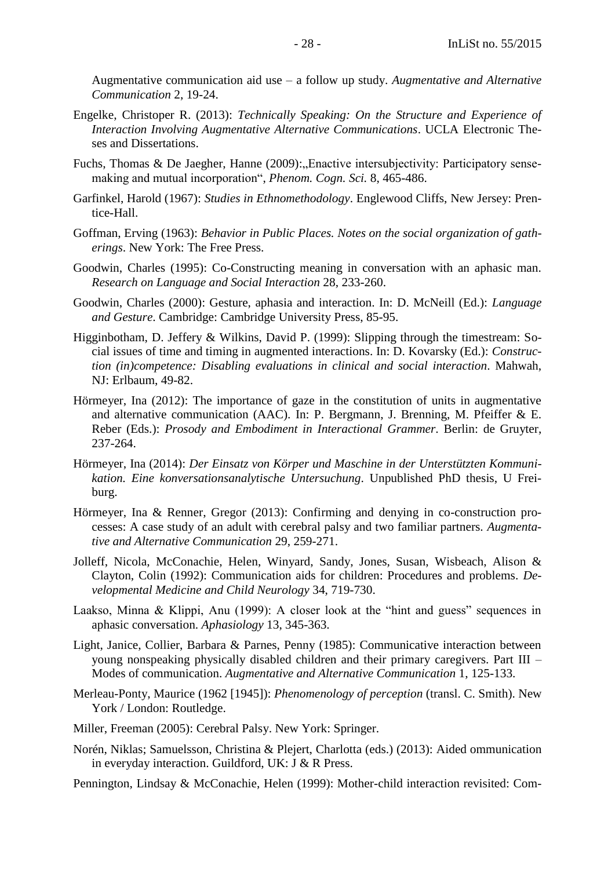Augmentative communication aid use – a follow up study. *Augmentative and Alternative Communication* 2, 19-24.

- Engelke, Christoper R. (2013): *Technically Speaking: On the Structure and Experience of Interaction Involving Augmentative Alternative Communications*. UCLA Electronic Theses and Dissertations.
- Fuchs, Thomas & De Jaegher, Hanne (2009): Enactive intersubjectivity: Participatory sensemaking and mutual incorporation", *Phenom. Cogn. Sci.* 8, 465-486.
- Garfinkel, Harold (1967): *Studies in Ethnomethodology*. Englewood Cliffs, New Jersey: Prentice-Hall.
- Goffman, Erving (1963): *Behavior in Public Places. Notes on the social organization of gatherings*. New York: The Free Press.
- Goodwin, Charles (1995): Co-Constructing meaning in conversation with an aphasic man. *Research on Language and Social Interaction* 28, 233-260.
- Goodwin, Charles (2000): Gesture, aphasia and interaction. In: D. McNeill (Ed.): *Language and Gesture*. Cambridge: Cambridge University Press, 85-95.
- Higginbotham, D. Jeffery & Wilkins, David P. (1999): Slipping through the timestream: Social issues of time and timing in augmented interactions. In: D. Kovarsky (Ed.): *Construction (in)competence: Disabling evaluations in clinical and social interaction*. Mahwah, NJ: Erlbaum, 49-82.
- Hörmeyer, Ina (2012): The importance of gaze in the constitution of units in augmentative and alternative communication (AAC). In: P. Bergmann, J. Brenning, M. Pfeiffer & E. Reber (Eds.): *Prosody and Embodiment in Interactional Grammer*. Berlin: de Gruyter, 237-264.
- Hörmeyer, Ina (2014): *Der Einsatz von Körper und Maschine in der Unterstützten Kommunikation. Eine konversationsanalytische Untersuchung*. Unpublished PhD thesis, U Freiburg.
- Hörmeyer, Ina & Renner, Gregor (2013): Confirming and denying in co-construction processes: A case study of an adult with cerebral palsy and two familiar partners. *Augmentative and Alternative Communication* 29, 259-271.
- Jolleff, Nicola, McConachie, Helen, Winyard, Sandy, Jones, Susan, Wisbeach, Alison & Clayton, Colin (1992): Communication aids for children: Procedures and problems. *Developmental Medicine and Child Neurology* 34, 719-730.
- Laakso, Minna & Klippi, Anu (1999): A closer look at the "hint and guess" sequences in aphasic conversation. *Aphasiology* 13, 345-363.
- Light, Janice, Collier, Barbara & Parnes, Penny (1985): Communicative interaction between young nonspeaking physically disabled children and their primary caregivers. Part III – Modes of communication. *Augmentative and Alternative Communication* 1, 125-133.
- Merleau-Ponty, Maurice (1962 [1945]): *Phenomenology of perception* (transl. C. Smith). New York / London: Routledge.
- Miller, Freeman (2005): Cerebral Palsy. New York: Springer.
- Norén, Niklas; Samuelsson, Christina & Plejert, Charlotta (eds.) (2013): Aided ommunication in everyday interaction. Guildford, UK: J & R Press.
- Pennington, Lindsay & McConachie, Helen (1999): Mother-child interaction revisited: Com-